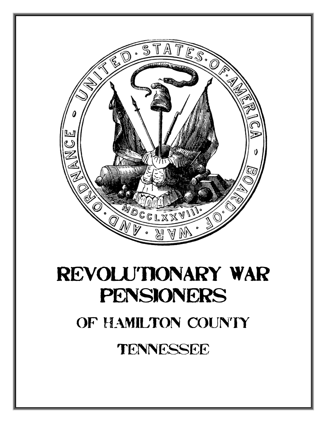

# Revolutionary War Pensioners

# OF HAMILTON COUNTY

Tennessee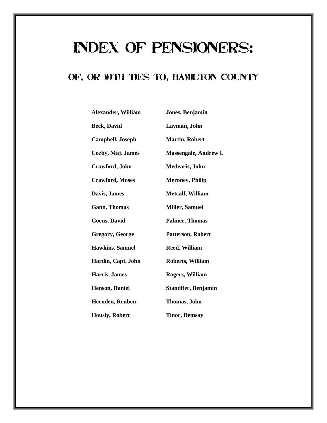# Index of Pensioners:

#### OF, OR WITH TIES TO, HAMILTON COUNTY

| Jones, Benjamin              |
|------------------------------|
| Layman, John                 |
| <b>Martin, Robert</b>        |
| <b>Massengale, Andrew I.</b> |
| Medearis, John               |
| <b>Meroney, Philip</b>       |
| <b>Metcalf, William</b>      |
| <b>Miller, Samuel</b>        |
| <b>Palmer, Thomas</b>        |
| Patterson, Robert            |
| <b>Reed, William</b>         |
| <b>Roberts, William</b>      |
| <b>Rogers, William</b>       |
| <b>Standifer, Benjamin</b>   |
| Thomas, John                 |
| <b>Tinor, Demsay</b>         |
|                              |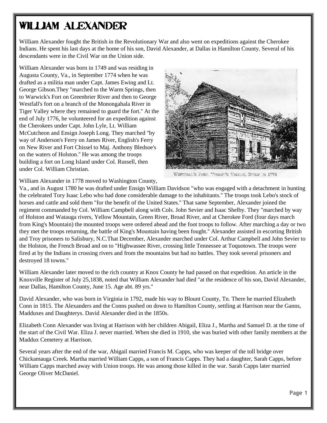# William Alexander

William Alexander fought the British in the Revolutionary War and also went on expeditions against the Cherokee Indians. He spent his last days at the home of his son, David Alexander, at Dallas in Hamilton County. Several of his descendants were in the Civil War on the Union side.

William Alexander was born in 1749 and was residing in Augusta County, Va., in September 1774 when he was drafted as a militia man under Capt. James Ewing and Lt. George Gibson.They "marched to the Warm Springs, then to Warwick's Fort on Greenbrier River and then to George Westfall's fort on a branch of the Monongahala River in Tiger Valley where they remained to guard the fort.'' At the end of July 1776, he volunteered for an expedition against the Cherokees under Capt. John Lyle, Lt. William McCutcheon and Ensign Joseph Long. They marched "by way of Anderson's Ferry on James River, English's Ferry on New River and Fort Chissel to Maj. Anthony Bledsoe's on the waters of Holston.'' He was among the troops building a fort on Long Island under Col. Russell, then under Col. William Christian.



WESTPALL'S FORT, "TOART'S VALUE, BUILT IN 1774

William Alexander in 1778 moved to Washington County,

Va., and in August 1780 he was drafted under Ensign William Davidson "who was engaged with a detachment in hunting the celebrated Tory Isaac Lebo who had done considerable damage to the inhabitants.'' The troops took Lebo's stock of horses and cattle and sold them "for the benefit of the United States.'' That same September, Alexander joined the regiment commanded by Col. William Campbell along with Cols. John Sevier and Isaac Shelby. They "marched by way of Holston and Watauga rivers, Yellow Mountain, Green River, Broad River, and at Cherokee Ford (four days march from King's Mountain) the mounted troops were ordered ahead and the foot troops to follow. After marching a day or two they met the troops returning, the battle of King's Mountain having been fought.'' Alexander assisted in escorting British and Troy prisoners to Salisbury, N.C.That December, Alexander marched under Col. Arthur Campbell and John Sevier to the Holston, the French Broad and on to "Highwassee River, crossing little Tennessee at Toquotown. The troops were fired at by the Indians in crossing rivers and from the mountains but had no battles. They took several prisoners and destroyed 18 towns.''

William Alexander later moved to the rich country at Knox County he had passed on that expedition. An article in the Knoxville Register of July 25,1838, noted that William Alexander had died "at the residence of his son, David Alexander, near Dallas, Hamilton County, June 15. Age abt. 89 yrs.''

David Alexander, who was born in Virginia in 1792, made his way to Blount County, Tn. There he married Elizabeth Conn in 1815. The Alexanders and the Conns pushed on down to Hamilton County, settling at Harrison near the Ganns, Madduxes and Daughterys. David Alexander died in the 1850s.

Elizabeth Conn Alexander was living at Harrison with her children Abigail, Eliza J., Martha and Samuel D. at the time of the start of the Civil War. Eliza J. never married. When she died in 1910, she was buried with other family members at the Maddux Cemetery at Harrison.

Several years after the end of the war, Abigail married Francis M. Capps, who was keeper of the toll bridge over Chickamauga Creek. Martha married William Capps, a son of Francis Capps. They had a daughter, Sarah Capps, before William Capps marched away with Union troops. He was among those killed in the war. Sarah Capps later married George Oliver McDaniel.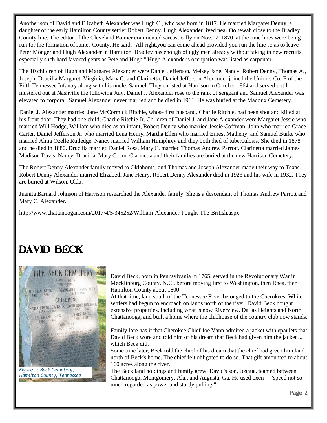Another son of David and Elizabeth Alexander was Hugh C., who was born in 1817. He married Margaret Denny, a daughter of the early Hamilton County settler Robert Denny. Hugh Alexander lived near Ooltewah close to the Bradley County line. The editor of the Cleveland Banner commented sarcastically on Nov.17, 1870, at the time lines were being run for the formation of James County. He said, "All right,you can come ahead provided you run the line so as to leave Peter Monger and Hugh Alexander in Hamilton. Bradley has enough of ugly men already without taking in new recruits, especially such hard favored gents as Pete and Hugh.'' Hugh Alexander's occupation was listed as carpenter.

The 10 children of Hugh and Margaret Alexander were Daniel Jefferson, Melsey Jane, Nancy, Robert Denny, Thomas A., Joseph, Drucilla Margaret, Virginia, Mary C. and Clarinetta. Daniel Jefferson Alexander joined the Union's Co. E of the Fifth Tennessee Infantry along with his uncle, Samuel. They enlisted at Harrison in October 1864 and served until mustered out at Nashville the following July. Daniel J. Alexander rose to the rank of sergeant and Samuel Alexander was elevated to corporal. Samuel Alexander never married and he died in 1911. He was buried at the Maddux Cemetery.

Daniel J. Alexander married Jane McCormick Ritchie, whose first husband, Charlie Ritchie, had been shot and killed at his front door. They had one child, Charlie Ritchie Jr. Children of Daniel J. and Jane Alexander were Margaret Jessie who married Will Hodge, William who died as an infant, Robert Denny who married Jessie Coffman, John who married Grace Carter, Daniel Jefferson Jr. who married Lena Henry, Martha Ellen who married Ernest Matheny, and Samuel Burke who married Alma Ozelle Rutledge. Nancy married William Humphrey and they both died of tuberculosis. She died in 1878 and he died in 1880. Drucilla married Daniel Ross. Mary C. married Thomas Andrew Parrott. Clarinetta married James Madison Davis. Nancy, Drucilla, Mary C. and Clarinetta and their families are buried at the new Harrison Cemetery.

The Robert Denny Alexander family moved to Oklahoma, and Thomas and Joseph Alexander made their way to Texas. Robert Denny Alexander married Elizabeth Jane Henry. Robert Denny Alexander died in 1923 and his wife in 1932. They are buried at Wilson, Okla.

Juanita Barnard Johnson of Harrison researched the Alexander family. She is a descendant of Thomas Andrew Parrott and Mary C. Alexander.

http://www.chattanoogan.com/2017/4/5/345252/William-Alexander-Fought-The-British.aspx

# DAVID BECK



David Beck, born in Pennsylvania in 1765, served in the Revolutionary War in Mecklinburg County, N.C., before moving first to Washington, then Rhea, then Hamilton County about 1800.

At that time, land south of the Tennessee River belonged to the Cherokees. White settlers had begun to encroach on lands north of the river. David Beck bought extensive properties, including what is now Riverview, Dallas Heights and North Chattanooga, and built a home where the clubhouse of the country club now stands.

Family lore has it that Cherokee Chief Joe Vann admired a jacket with epaulets that David Beck wore and told him of his dream that Beck had given him the jacket ... which Beck did.

Some time later, Beck told the chief of his dream that the chief had given him land north of Beck's home. The chief felt obligated to do so. That gift amounted to about 160 acres along the river.

The Beck land holdings and family grew. David's son, Joshua, teamed between Chattanooga, Montgomery, Ala., and Augusta, Ga. He used oxen -- "speed not so much regarded as power and sturdy pulling."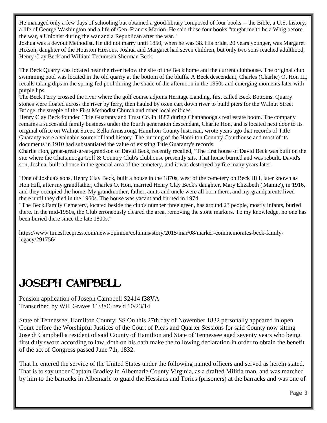He managed only a few days of schooling but obtained a good library composed of four books -- the Bible, a U.S. history, a life of George Washington and a life of Gen. Francis Marion. He said those four books "taught me to be a Whig before the war, a Unionist during the war and a Republican after the war."

Joshua was a devout Methodist. He did not marry until 1850, when he was 38. His bride, 20 years younger, was Margaret Hixson, daughter of the Houston Hixsons. Joshua and Margaret had seven children, but only two sons reached adulthood, Henry Clay Beck and William Tecumseh Sherman Beck.

The Beck Quarry was located near the river below the site of the Beck home and the current clubhouse. The original club swimming pool was located in the old quarry at the bottom of the bluffs. A Beck descendant, Charles (Charlie) O. Hon III, recalls taking dips in the spring-fed pool during the shade of the afternoon in the 1950s and emerging moments later with purple lips.

The Beck Ferry crossed the river where the golf course adjoins Heritage Landing, first called Beck Bottoms. Quarry stones were floated across the river by ferry, then hauled by oxen cart down river to build piers for the Walnut Street Bridge, the steeple of the First Methodist Church and other local edifices.

Henry Clay Beck founded Title Guaranty and Trust Co. in 1887 during Chattanooga's real estate boom. The company remains a successful family business under the fourth generation descendant, Charlie Hon, and is located next door to its original office on Walnut Street. Zella Armstrong, Hamilton County historian, wrote years ago that records of Title Guaranty were a valuable source of land history. The burning of the Hamilton Country Courthouse and most of its documents in 1910 had substantiated the value of existing Title Guaranty's records.

Charlie Hon, great-great-great-grandson of David Beck, recently recalled, "The first house of David Beck was built on the site where the Chattanooga Golf & Country Club's clubhouse presently sits. That house burned and was rebuilt. David's son, Joshua, built a house in the general area of the cemetery, and it was destroyed by fire many years later.

"One of Joshua's sons, Henry Clay Beck, built a house in the 1870s, west of the cemetery on Beck Hill, later known as Hon Hill, after my grandfather, Charles O. Hon, married Henry Clay Beck's daughter, Mary Elizabeth ('Mamie'), in 1916, and they occupied the home. My grandmother, father, aunts and uncle were all born there, and my grandparents lived there until they died in the 1960s. The house was vacant and burned in 1974.

"The Beck Family Cemetery, located beside the club's number three green, has around 23 people, mostly infants, buried there. In the mid-1950s, the Club erroneously cleared the area, removing the stone markers. To my knowledge, no one has been buried there since the late 1800s."

https://www.timesfreepress.com/news/opinion/columns/story/2015/mar/08/marker-commemorates-beck-familylegacy/291756/

# Joseph Campbell

Pension application of Joseph Campbell S2414 f38VA Transcribed by Will Graves 11/3/06 rev'd 10/23/14

State of Tennessee, Hamilton County: SS On this 27th day of November 1832 personally appeared in open Court before the Worshipful Justices of the Court of Pleas and Quarter Sessions for said County now sitting Joseph Campbell a resident of said County of Hamilton and State of Tennessee aged seventy years who being first duly sworn according to law, doth on his oath make the following declaration in order to obtain the benefit of the act of Congress passed June 7th, 1832.

That he entered the service of the United States under the following named officers and served as herein stated. That is to say under Captain Bradley in Albemarle County Virginia, as a drafted Militia man, and was marched by him to the barracks in Albemarle to guard the Hessians and Tories (prisoners) at the barracks and was one of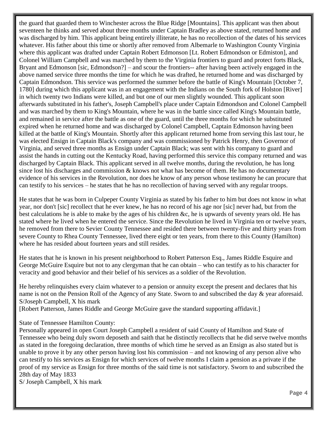the guard that guarded them to Winchester across the Blue Ridge [Mountains]. This applicant was then about seventeen he thinks and served about three months under Captain Bradley as above stated, returned home and was discharged by him. This applicant being entirely illiterate, he has no recollection of the dates of his services whatever. His father about this time or shortly after removed from Albemarle to Washington County Virginia where this applicant was drafted under Captain Robert Edmonson [Lt. Robert Edmondson or Edmiston], and Colonel William Campbell and was marched by them to the Virginia frontiers to guard and protect forts Black, Bryant and Edmonson [sic, Edmondson?] – and scour the frontiers-- after having been actively engaged in the above named service three months the time for which he was drafted, he returned home and was discharged by Captain Edmondson. This service was performed the summer before the battle of King's Mountain [October 7, 1780] during which this applicant was in an engagement with the Indians on the South fork of Holston [River] in which twenty two Indians were killed, and but one of our men slightly wounded. This applicant soon afterwards substituted in his father's, Joseph Campbell's place under Captain Edmondson and Colonel Campbell and was marched by them to King's Mountain, where he was in the battle since called King's Mountain battle, and remained in service after the battle as one of the guard, until the three months for which he substituted expired when he returned home and was discharged by Colonel Campbell, Captain Edmonson having been killed at the battle of King's Mountain. Shortly after this applicant returned home from serving this last tour, he was elected Ensign in Captain Black's company and was commissioned by Patrick Henry, then Governor of Virginia, and served three months as Ensign under Captain Black; was sent with his company to guard and assist the hands in cutting out the Kentucky Road, having performed this service this company returned and was discharged by Captain Black. This applicant served in all twelve months, during the revolution, he has long since lost his discharges and commission  $\&$  knows not what has become of them. He has no documentary evidence of his services in the Revolution, nor does he know of any person whose testimony he can procure that can testify to his services – he states that he has no recollection of having served with any regular troops.

He states that he was born in Culpeper County Virginia as stated by his father to him but does not know in what year, nor don't [sic] recollect that he ever knew, he has no record of his age nor [sic] never had, but from the best calculations he is able to make by the ages of his children &c, he is upwards of seventy years old. He has stated where he lived when he entered the service. Since the Revolution he lived in Virginia ten or twelve years, he removed from there to Sevier County Tennessee and resided there between twenty-five and thirty years from severe County to Rhea County Tennessee, lived there eight or ten years, from there to this County (Hamilton) where he has resided about fourteen years and still resides.

He states that he is known in his present neighborhood to Robert Patterson Esq., James Riddle Esquire and George McGuire Esquire but not to any clergyman that he can obtain – who can testify as to his character for veracity and good behavior and their belief of his services as a soldier of the Revolution.

He hereby relinquishes every claim whatever to a pension or annuity except the present and declares that his name is not on the Pension Roll of the Agency of any State. Sworn to and subscribed the day & year aforesaid. S/Joseph Campbell, X his mark

[Robert Patterson, James Riddle and George McGuire gave the standard supporting affidavit.]

State of Tennessee Hamilton County:

Personally appeared in open Court Joseph Campbell a resident of said County of Hamilton and State of Tennessee who being duly sworn deposeth and saith that he distinctly recollects that he did serve twelve months as stated in the foregoing declaration, three months of which time he served as an Ensign as also stated but is unable to prove it by any other person having lost his commission – and not knowing of any person alive who can testify to his services as Ensign for which services of twelve months I claim a pension as a private if the proof of my service as Ensign for three months of the said time is not satisfactory. Sworn to and subscribed the 28th day of May 1833

S/ Joseph Campbell, X his mark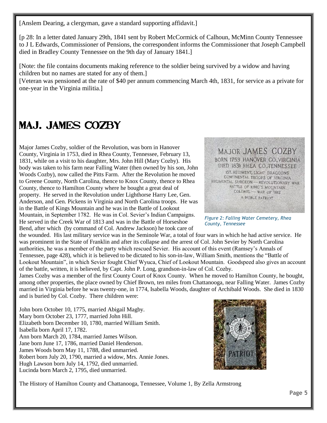[Anslem Dearing, a clergyman, gave a standard supporting affidavit.]

[p 28: In a letter dated January 29th, 1841 sent by Robert McCormick of Calhoun, McMinn County Tennessee to J L Edwards, Commissioner of Pensions, the correspondent informs the Commissioner that Joseph Campbell died in Bradley County Tennessee on the 9th day of January 1841.]

[Note: the file contains documents making reference to the soldier being survived by a widow and having children but no names are stated for any of them.]

[Veteran was pensioned at the rate of \$40 per annum commencing March 4th, 1831, for service as a private for one-year in the Virginia militia.]

### Maj. James Cozby

Major James Cozby, soldier of the Revolution, was born in Hanover County, Virginia in 1753, died in Rhea County, Tennessee, February 13, 1831, while on a visit to his daughter, Mrs. John Hill (Mary Cozby). His body was taken to his farm near Falling Water (then owned by his son, John Woods Cozby), now called the Pitts Farm. After the Revolution he moved to Greene County, North Carolina, thence to Knox County, thence to Rhea County, thence to Hamilton County where he bought a great deal of property. He served in the Revolution under Lighthorse Harry Lee, Gen. Anderson, and Gen. Pickens in Virginia and North Carolina troops. He was in the Battle of Kings Mountain and he was in the Battle of Lookout Mountain, in September 1782. He was in Col. Sevier's Indian Campaigns. He served in the Creek War of 1813 and was in the Battle of Horseshoe Bend, after which (by command of Col. Andrew Jackson) he took care of

the wounded. His last military service was in the Seminole War, a total of four wars in which he had active service. He was prominent in the State of Franklin and after its collapse and the arrest of Col. John Sevier by North Carolina authorities, he was a member of the party which rescued Sevier. His account of this event (Ramsey's Annals of Tennessee, page 428), which it is believed to be dictated to his son-in-law, William Smith, mentions the "Battle of Lookout Mountain", in which Sevier fought Chief Wyuca, Chief of Lookout Mountain. Goodspeed also gives an account of the battle, written, it is believed, by Capt. John P. Long, grandson-in-law of Col. Cozby.

James Cozby was a member of the first County Court of Knox County. When he moved to Hamilton County, he bought, among other properties, the place owned by Chief Brown, ten miles from Chattanooga, near Falling Water. James Cozby married in Virginia before he was twenty-one, in 1774, Isabella Woods, daughter of Archibald Woods. She died in 1830 and is buried by Col. Cozby. There children were:

John born October 10, 1775, married Abigail Magby. Mary born October 23, 1777, married John Hill. Elizabeth born December 10, 1780, married William Smith. Isabella born April 17, 1782. Ann born March 20, 1784, married James Wilson. Jane born June 17, 1786, married Daniel Henderson. James Woods born May 11, 1788, died unmarried. Robert born July 20, 1790, married a widow, Mrs. Annie Jones. Hugh Lawson born July 14, 1792, died unmarried. Lucinda born March 2, 1795, died unmarried.



The History of Hamilton County and Chattanooga, Tennessee, Volume 1, By Zella Armstrong



*Figure 2: Falling Water Cemetery, Rhea County, Tennessee*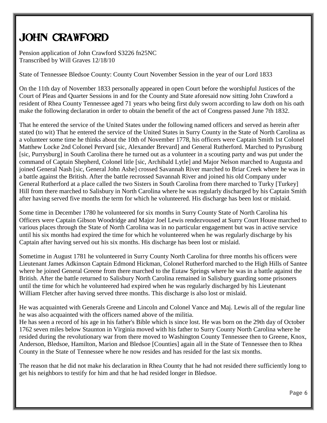# John Crawford

Pension application of John Crawford S3226 fn25NC Transcribed by Will Graves 12/18/10

State of Tennessee Bledsoe County: County Court November Session in the year of our Lord 1833

On the 11th day of November 1833 personally appeared in open Court before the worshipful Justices of the Court of Pleas and Quarter Sessions in and for the County and State aforesaid now sitting John Crawford a resident of Rhea County Tennessee aged 71 years who being first duly sworn according to law doth on his oath make the following declaration in order to obtain the benefit of the act of Congress passed June 7th 1832.

That he entered the service of the United States under the following named officers and served as herein after stated (to wit) That he entered the service of the United States in Surry County in the State of North Carolina as a volunteer some time he thinks about the 10th of November 1778, his officers were Captain Smith 1st Colonel Matthew Locke 2nd Colonel Pervard [sic, Alexander Brevard] and General Rutherford. Marched to Pyrusburg [sic, Purrysburg] in South Carolina there he turned out as a volunteer in a scouting party and was put under the command of Captain Shepherd, Colonel litle [sic, Archibald Lytle] and Major Nelson marched to Augusta and joined General Nash [sic, General John Ashe] crossed Savannah River marched to Briar Creek where he was in a battle against the British. After the battle recrossed Savannah River and joined his old Company under General Rutherford at a place called the two Sisters in South Carolina from there marched to Turky [Turkey] Hill from there marched to Salisbury in North Carolina where he was regularly discharged by his Captain Smith after having served five months the term for which he volunteered. His discharge has been lost or mislaid.

Some time in December 1780 he volunteered for six months in Surry County State of North Carolina his Officers were Captain Gibson Woodridge and Major Joel Lewis rendezvoused at Surry Court House marched to various places through the State of North Carolina was in no particular engagement but was in active service until his six months had expired the time for which he volunteered when he was regularly discharge by his Captain after having served out his six months. His discharge has been lost or mislaid.

Sometime in August 1781 he volunteered in Surry County North Carolina for three months his officers were Lieutenant James Adkinson Captain Edmond Hickman, Colonel Rutherford marched to the High Hills of Santee where he joined General Greene from there marched to the Eutaw Springs where he was in a battle against the British. After the battle returned to Salisbury North Carolina remained in Salisbury guarding some prisoners until the time for which he volunteered had expired when he was regularly discharged by his Lieutenant William Fletcher after having served three months. This discharge is also lost or mislaid.

He was acquainted with Generals Greene and Lincoln and Colonel Vance and Maj. Lewis all of the regular line he was also acquainted with the officers named above of the militia.

He has seen a record of his age in his father's Bible which is since lost. He was born on the 29th day of October 1762 seven miles below Staunton in Virginia moved with his father to Surry County North Carolina where he resided during the revolutionary war from there moved to Washington County Tennessee then to Greene, Knox, Anderson, Bledsoe, Hamilton, Marion and Bledsoe [Counties] again all in the State of Tennessee then to Rhea County in the State of Tennessee where he now resides and has resided for the last six months.

The reason that he did not make his declaration in Rhea County that he had not resided there sufficiently long to get his neighbors to testify for him and that he had resided longer in Bledsoe.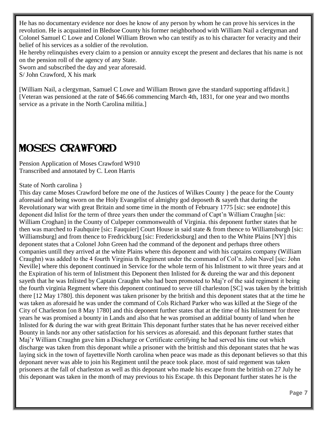He has no documentary evidence nor does he know of any person by whom he can prove his services in the revolution. He is acquainted in Bledsoe County his former neighborhood with William Nail a clergyman and Colonel Samuel C Lowe and Colonel William Brown who can testify as to his character for veracity and their belief of his services as a soldier of the revolution.

He hereby relinquishes every claim to a pension or annuity except the present and declares that his name is not on the pension roll of the agency of any State.

Sworn and subscribed the day and year aforesaid.

S/ John Crawford, X his mark

[William Nail, a clergyman, Samuel C Lowe and William Brown gave the standard supporting affidavit.] [Veteran was pensioned at the rate of \$46.66 commencing March 4th, 1831, for one year and two months service as a private in the North Carolina militia.]

### Moses Crawford

Pension Application of Moses Crawford W910 Transcribed and annotated by C. Leon Harris

State of North carolina }

This day came Moses Crawford before me one of the Justices of Wilkes County } the peace for the County aforesaid and being sworn on the Holy Evangelist of almighty god deposeth & sayeth that during the Revolutionary war with great Britain and some time in the month of February 1775 [sic: see endnote] this deponent did Inlist for the term of three years then under the command of Capt'n William Craughn [sic: William Croghan] in the County of Culpeper commonwealth of Virginia. this deponent further states that he then was marched to Fauhquire [sic: Fauquier] Court House in said state & from thence to Williamsburgh [sic: Williamsburg] and from thence to Fredrickburg [sic: Fredericksburg] and then to the White Plains [NY] this deponent states that a Colonel John Green had the command of the deponent and perhaps three others companies untill they arrived at the white Plains where this deponent and with his captains company (William Craughn) was added to the 4 fourth Virginia th Regiment under the command of Col'n. John Navel [sic: John Neville] where this deponent continued in Service for the whole term of his Inlistment to wit three years and at the Expiration of his term of Inlistment this Deponent then Inlisted for & dureing the war and this deponent sayeth that he was Inlisted by Captain Craughn who had been promoted to Maj'r of the said regiment it being the fourth virginia Regment where this deponent continued to serve till charleston [SC] was taken by the brittish there [12 May 1780]. this deponent was taken prisoner by the british and this deponent states that at the time he was taken as aforesaid he was under the command of Cols Richard Parker who was killed at the Siege of the City of Charleston [on 8 May 1780] and this deponent further states that at the time of his Inlistment for three years he was promised a bounty in Lands and also that he was promised an additial bounty of land when he Inlisted for & during the war with great Brittain This deponant further states that he has never received either Bounty in lands nor any other satisfaction for his services as aforesaid. and this deponant further states that Maj'r William Craughn gave him a Discharge or Certificate certifying he had served his time out which discharge was taken from this deponant while a prisoner with the brittish and this deponant states that he was laying sick in the town of fayetteville North carolina when peace was made as this deponant believes so that this deponant never was able to join his Regiment until the peace took place. most of said regement was taken prisoners at the fall of charleston as well as this deponant who made his escape from the brittish on 27 July he this deponant was taken in the month of may previous to his Escape. th this Deponant further states he is the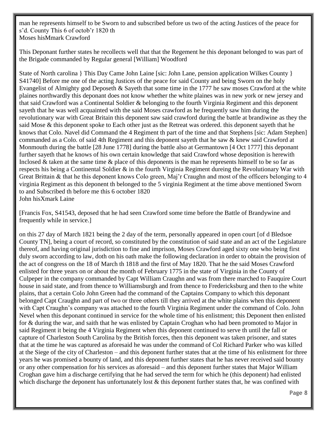man he represents himself to be Sworn to and subscribed before us two of the acting Justices of the peace for s'd. County This 6 of octob'r 1820 th Moses hisMmark Crawford

This Deponant further states he recollects well that that the Regement he this deponant belonged to was part of the Brigade commanded by Regular general [William] Woodford

State of North carolina } This Day Came John Laine [sic: John Lane, pension application Wilkes County } S41740] Before me one of the acting Justices of the peace for said County and being Sworn on the holy Evangelist of Almighty god Deposeth & Sayeth that some time in the 1777 he saw moses Crawford at the white plaines northwardly this deponant does not know whether the white plaines was in new york or new jersey and that said Crawford was a Continental Soldier & belonging to the fourth Virginia Regiment and this deponent sayeth that he was well acquainted with the said Moses crawford as he frequently saw him during the revolutionary war with Great Britain this deponent saw said crawford during the battle at brandiwine as they the said Mose & this deponent spoke to Each other just as the Retreat was ordered. this deponent sayeth that he knows that Colo. Navel did Command the 4 Regiment th part of the time and that Stephens [sic: Adam Stephen] commanded as a Colo. of said 4th Regiment and this deponent sayeth that he saw & knew said Crawford at Monmouth during the battle [28 June 1778] during the battle also at Germantown [4 Oct 1777] this deponant further sayeth that he knows of his own certain knowledge that said Crawford whose deposition is herewith Inclosed & taken at the same time  $\&$  place of this deponents is the man he represents himself to be so far as respects his being a Continental Soldier & in the fourth Virginia Regiment dureing the Revolutionary War with Great Brittain & that he this deponent knows Colo green, Maj'r Craughn and most of the officers belonging to 4 virginia Regiment as this deponent th belonged to the 5 virginia Regiment at the time above mentioned Sworn to and Subscribed th before me this 6 october 1820 John hisXmark Laine

[Francis Fox, S41543, deposed that he had seen Crawford some time before the Battle of Brandywine and frequently while in service.]

on this 27 day of March 1821 being the 2 day of the term, personally appeared in open court [of d Bledsoe County TN], being a court of record, so constituted by the constitution of said state and an act of the Legislature thereof, and having original jurisdiction to fine and imprison, Moses Crawford aged sixty one who being first duly sworn according to law, doth on his oath make the following declaration in order to obtain the provision of the act of congress on the 18 of March th 1818 and the first of May 1820. That he the said Moses Crawford enlisted for three years on or about the month of February 1775 in the state of Virginia in the County of Culpeper in the company commanded by Capt William Craughn and was from there marched to Fauquire Court house in said state, and from thence to Williamsburgh and from thence to Fredericksburg and then to the white plains, that a certain Colo John Green had the command of the Captains Company to which this deponant belonged Capt Craughn and part of two or three others till they arrived at the white plains when this deponent with Capt Craughn's company was attached to the fourth Virginia Regiment under the command of Colo. John Nevel when this deponant continued in service for the whole time of his enlistment; this Deponent then enlisted for & during the war, and saith that he was enlisted by Captain Croghan who had been promoted to Major in said Regiment it being the 4 Virginia Regiment when this deponent continued to serve th until the fall or capture of Charleston South Carolina by the British forces, then this deponent was taken prisoner, and states that at the time he was captured as aforesaid he was under the command of Col Richard Parker who was killed at the Siege of the city of Charleston – and this deponent further states that at the time of his enlistment for three years he was promised a bounty of land, and this deponent further states that he has never received said bounty or any other compensation for his services as aforesaid – and this deponent further states that Major William Croghan gave him a discharge certifying that he had served the term for which he (this deponent) had enlisted which discharge the deponent has unfortunately lost & this deponent further states that, he was confined with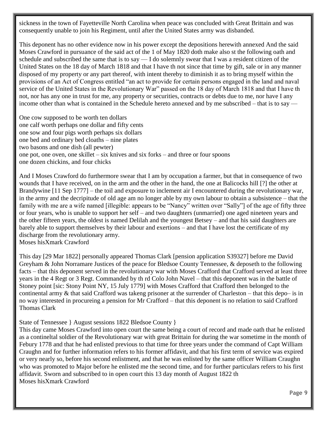sickness in the town of Fayetteville North Carolina when peace was concluded with Great Brittain and was consequently unable to join his Regiment, until after the United States army was disbanded.

This deponent has no other evidence now in his power except the depositions herewith annexed And the said Moses Crawford in pursuance of the said act of the 1 of May 1820 doth make also st the following oath and schedule and subscribed the same that is to say  $- I$  do solemnly swear that I was a resident citizen of the United States on the 18 day of March 1818 and that I have th not since that time by gift, sale or in any manner disposed of my property or any part thereof, with intent thereby to diminish it as to bring myself within the provisions of an Act of Congress entitled "an act to provide for certain persons engaged in the land and naval service of the United States in the Revolutionary War" passed on the 18 day of March 1818 and that I have th not, nor has any one in trust for me, any property or securities, contracts or debts due to me, nor have I any income other than what is contained in the Schedule hereto annexed and by me subscribed – that is to say —

One cow supposed to be worth ten dollars one calf worth perhaps one dollar and fifty cents one sow and four pigs worth perhaps six dollars one bed and ordinary bed cloaths – nine plates two basons and one dish (all pewter) one pot, one oven, one skillet – six knives and six forks – and three or four spoons one dozen chickins, and four chicks

And I Moses Crawford do furthermore swear that I am by occupation a farmer, but that in consequence of two wounds that I have received, on in the arm and the other in the hand, the one at Balicocks hill [?] the other at Brandywine [11 Sep 1777] – the toil and exposure to inclement air I encountered during the revolutionary war, in the army and the decripitude of old age am no longer able by my own labour to obtain a subsistence – that the family with me are a wife named [illegible: appears to be "Nancy" written over "Sally"] of the age of fifty three or four years, who is unable to support her self – and two daughters (unmarried) one aged nineteen years and the other fifteen years, the oldest is named Delilah and the youngest Betsey – and that his said daughters are barely able to support themselves by their labour and exertions – and that I have lost the certificate of my discharge from the revolutionary army. Moses hisXmark Crawford

This day [29 Mar 1822] personally appeared Thomas Clark [pension application S39327] before me David Greyham & John Norramare Justices of the peace for Bledsoe County Tennessee, & deposeth to the following facts – that this deponent served in the revolutionary war with Moses Crafford that Crafford served at least three years in the 4 Regt or 3 Regt. Commanded by th rd Colo John Navel – that this deponent was in the battle of Stoney point [sic: Stony Point NY, 15 July 1779] with Moses Crafford that Crafford then belonged to the continental army & that said Crafford was takeng prisoner at the surrender of Charleston – that this depo– is in no way interested in procureing a pension for Mr Crafford – that this deponent is no relation to said Crafford Thomas Clark

#### State of Tennessee } August sessions 1822 Bledsoe County }

This day came Moses Crawford into open court the same being a court of record and made oath that he enlisted as a contineltal soldier of the Revolutionary war with great Brittain for during the war sometime in the month of Febury 1778 and that he had enlisted previous to that time for three years under the command of Capt William Craughn and for further information refers to his former affidavit, and that his first term of service was expired or very nearly so, before his second enlistment, and that he was enlisted by the same officer William Craughn who was promoted to Major before he enlisted me the second time, and for further particulars refers to his first affidavit. Sworn and subscribed to in open court this 13 day month of August 1822 th Moses hisXmark Crawford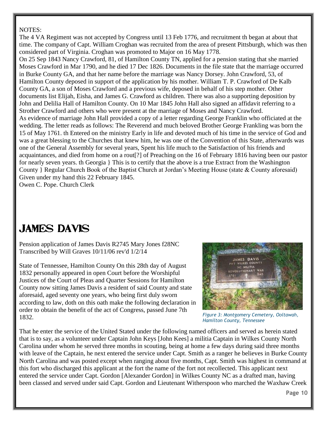#### NOTES:

The 4 VA Regiment was not accepted by Congress until 13 Feb 1776, and recruitment th began at about that time. The company of Capt. William Croghan was recruited from the area of present Pittsburgh, which was then considered part of Virginia. Croghan was promoted to Major on 16 May 1778.

On 25 Sep 1843 Nancy Crawford, 81, of Hamilton County TN, applied for a pension stating that she married Moses Crawford in Mar 1790, and he died 17 Dec 1826. Documents in the file state that the marriage occurred in Burke County GA, and that her name before the marriage was Nancy Dorsey. John Crawford, 53, of Hamilton County deposed in support of the application by his mother. William T. P. Crawford of De Kalb County GA, a son of Moses Crawford and a previous wife, deposed in behalf of his step mother. Other documents list Elijah, Eisha, and James G. Crawford as children. There was also a supporting deposition by John and Delilia Hall of Hamilton County. On 10 Mar 1845 John Hall also signed an affidavit referring to a Strother Crawford and others who were present at the marriage of Moses and Nancy Crawford. As evidence of marriage John Hall provided a copy of a letter regarding George Franklin who officiated at the wedding. The letter reads as follows: The Reverend and much beloved Brother George Frankling was born the 15 of May 1761. th Entered on the ministry Early in life and devoted much of his time in the service of God and was a great blessing to the Churches that knew him, he was one of the Convention of this State, afterwards was one of the General Assembly for several years, Spent his life much to the Satisfaction of his friends and acquaintances, and died from home on a rout[?] of Preaching on the 16 of February 1816 having been our pastor for nearly seven years. th Georgia } This is to certify that the above is a true Extract from the Washington County } Regular Church Book of the Baptist Church at Jordan's Meeting House (state & County aforesaid) Given under my hand this 22 February 1845.

Owen C. Pope. Church Clerk

### James Davis

Pension application of James Davis R2745 Mary Jones f28NC Transcribed by Will Graves 10/11/06 rev'd 1/2/14

State of Tennessee, Hamilton County On this 28th day of August 1832 personally appeared in open Court before the Worshipful Justices of the Court of Pleas and Quarter Sessions for Hamilton County now sitting James Davis a resident of said County and state aforesaid, aged seventy one years, who being first duly sworn according to law, doth on this oath make the following declaration in order to obtain the benefit of the act of Congress, passed June 7th 1832.



*Figure 3: Montgomery Cemetery, Ooltawah, Hamilton County, Tennessee*

That he enter the service of the United Stated under the following named officers and served as herein stated that is to say, as a volunteer under Captain John Keys [John Kees] a militia Captain in Wilkes County North Carolina under whom he served three months in scouting, being at home a few days during said three months with leave of the Captain, he next entered the service under Capt. Smith as a ranger he believes in Burke County North Carolina and was posted except when ranging about five months, Capt. Smith was highest in command at this fort who discharged this applicant at the fort the name of the fort not recollected. This applicant next entered the service under Capt. Gordon [Alexander Gordon] in Wilkes County NC as a drafted man, having been classed and served under said Capt. Gordon and Lieutenant Witherspoon who marched the Waxhaw Creek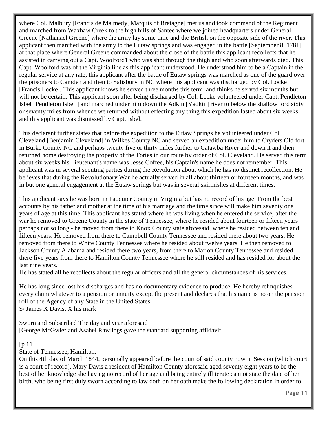where Col. Malbury [Francis de Malmedy, Marquis of Bretagne] met us and took command of the Regiment and marched from Waxhaw Creek to the high hills of Santee where we joined headquarters under General Greene [Nathanael Greene] where the army lay some time and the British on the opposite side of the river. This applicant then marched with the army to the Eutaw springs and was engaged in the battle [September 8, 1781] at that place where General Greene commanded about the close of the battle this applicant recollects that he assisted in carrying out a Capt. Woolford1 who was shot through the thigh and who soon afterwards died. This Capt. Woolford was of the Virginia line as this applicant understood. He understood him to be a Captain in the regular service at any rate; this applicant after the battle of Eutaw springs was marched as one of the guard over the prisoners to Camden and then to Salisbury in NC where this applicant was discharged by Col. Locke [Francis Locke]. This applicant knows he served three months this term, and thinks he served six months but will not be certain. This applicant soon after being discharged by Col. Locke volunteered under Capt. Pendleton Isbel [Pendleton Isbell] and marched under him down the Adkin [Yadkin] river to below the shallow ford sixty or seventy miles from whence we returned without effecting any thing this expedition lasted about six weeks and this applicant was dismissed by Capt. Isbel.

This declarant further states that before the expedition to the Eutaw Springs he volunteered under Col. Cleveland [Benjamin Cleveland] in Wilkes County NC and served an expedition under him to Cryders Old fort in Burke County NC and perhaps twenty five or thirty miles further to Catawba River and down it and then returned home destroying the property of the Tories in our route by order of Col. Cleveland. He served this term about six weeks his Lieutenant's name was Jesse Coffee, his Captain's name he does not remember. This applicant was in several scouting parties during the Revolution about which he has no distinct recollection. He believes that during the Revolutionary War he actually served in all about thirteen or fourteen months, and was in but one general engagement at the Eutaw springs but was in several skirmishes at different times.

This applicant says he was born in Fauquier County in Virginia but has no record of his age. From the best accounts by his father and mother at the time of his marriage and the time since will make him seventy one years of age at this time. This applicant has stated where he was living when he entered the service, after the war he removed to Greene County in the state of Tennessee, where he resided about fourteen or fifteen years perhaps not so long - he moved from there to Knox County state aforesaid, where he resided between ten and fifteen years. He removed from there to Campbell County Tennessee and resided there about two years. He removed from there to White County Tennessee where he resided about twelve years. He then removed to Jackson County Alabama and resided there two years, from there to Marion County Tennessee and resided there five years from there to Hamilton County Tennessee where he still resided and has resided for about the last nine years.

He has stated all he recollects about the regular officers and all the general circumstances of his services.

He has long since lost his discharges and has no documentary evidence to produce. He hereby relinquishes every claim whatever to a pension or annuity except the present and declares that his name is no on the pension roll of the Agency of any State in the United States. S/ James X Davis, X his mark

Sworn and Subscribed The day and year aforesaid [George McGwier and Asahel Rawlings gave the standard supporting affidavit.]

#### $[p 11]$

State of Tennessee, Hamilton.

On this 4th day of March 1844, personally appeared before the court of said county now in Session (which court is a court of record), Mary Davis a resident of Hamilton County aforesaid aged seventy eight years to be the best of her knowledge she having no record of her age and being entirely illiterate cannot state the date of her birth, who being first duly sworn according to law doth on her oath make the following declaration in order to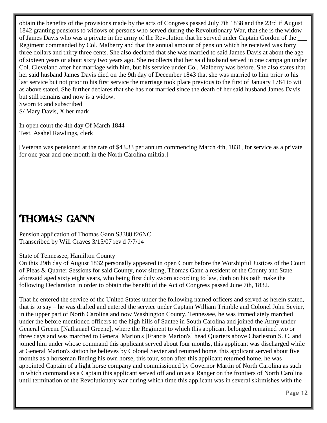obtain the benefits of the provisions made by the acts of Congress passed July 7th 1838 and the 23rd if August 1842 granting pensions to widows of persons who served during the Revolutionary War, that she is the widow of James Davis who was a private in the army of the Revolution that he served under Captain Gordon of the \_\_\_ Regiment commanded by Col. Malberry and that the annual amount of pension which he received was forty three dollars and thirty three cents. She also declared that she was married to said James Davis at about the age of sixteen years or about sixty two years ago. She recollects that her said husband served in one campaign under Col. Cleveland after her marriage with him, but his service under Col. Malberry was before. She also states that her said husband James Davis died on the 9th day of December 1843 that she was married to him prior to his last service but not prior to his first service the marriage took place previous to the first of January 1784 to wit as above stated. She further declares that she has not married since the death of her said husband James Davis but still remains and now is a widow. Sworn to and subscribed

S/ Mary Davis, X her mark

In open court the 4th day Of March 1844 Test. Asahel Rawlings, clerk

[Veteran was pensioned at the rate of \$43.33 per annum commencing March 4th, 1831, for service as a private for one year and one month in the North Carolina militia.]

### Thomas Gann

Pension application of Thomas Gann S3388 f26NC Transcribed by Will Graves 3/15/07 rev'd 7/7/14

#### State of Tennessee, Hamilton County

On this 29th day of August 1832 personally appeared in open Court before the Worshipful Justices of the Court of Pleas & Quarter Sessions for said County, now sitting, Thomas Gann a resident of the County and State aforesaid aged sixty eight years, who being first duly sworn according to law, doth on his oath make the following Declaration in order to obtain the benefit of the Act of Congress passed June 7th, 1832.

That he entered the service of the United States under the following named officers and served as herein stated, that is to say – he was drafted and entered the service under Captain William Trimble and Colonel John Sevier, in the upper part of North Carolina and now Washington County, Tennessee, he was immediately marched under the before mentioned officers to the high hills of Santee in South Carolina and joined the Army under General Greene [Nathanael Greene], where the Regiment to which this applicant belonged remained two or three days and was marched to General Marion's [Francis Marion's] head Quarters above Charleston S. C. and joined him under whose command this applicant served about four months, this applicant was discharged while at General Marion's station he believes by Colonel Sevier and returned home, this applicant served about five months as a horseman finding his own horse, this tour, soon after this applicant returned home, he was appointed Captain of a light horse company and commissioned by Governor Martin of North Carolina as such in which command as a Captain this applicant served off and on as a Ranger on the frontiers of North Carolina until termination of the Revolutionary war during which time this applicant was in several skirmishes with the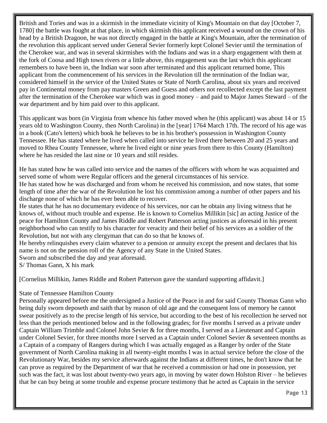British and Tories and was in a skirmish in the immediate vicinity of King's Mountain on that day [October 7, 1780] the battle was fought at that place, in which skirmish this applicant received a wound on the crown of his head by a British Dragoon, he was not directly engaged in the battle at King's Mountain, after the termination of the revolution this applicant served under General Sevier formerly kept Colonel Sevier until the termination of the Cherokee war, and was in several skirmishes with the Indians and was in a sharp engagement with them at the fork of Coosa and High town rivers or a little above, this engagement was the last which this applicant remembers to have been in, the Indian war soon after terminated and this applicant returned home, This applicant from the commencement of his services in the Revolution till the termination of the Indian war, considered himself in the service of the United States or State of North Carolina, about six years and received pay in Continental money from pay masters Green and Guess and others not recollected except the last payment after the termination of the Cherokee war which was in good money – and paid to Major James Steward – of the war department and by him paid over to this applicant.

This applicant was born (in Virginia from whence his father moved when he (this applicant) was about 14 or 15 years old to Washington County, then North Carolina) in the [year] 1764 March 17th. The record of his age was in a book (Cato's letters) which book he believes to be in his brother's possession in Washington County Tennessee. He has stated where he lived when called into service he lived there between 20 and 25 years and moved to Rhea County Tennessee, where he lived eight or nine years from there to this County (Hamilton) where he has resided the last nine or 10 years and still resides.

He has stated how he was called into service and the names of the officers with whom he was acquainted and served some of whom were Regular officers and the general circumstances of his service.

He has stated how he was discharged and from whom he received his commission, and now states, that some length of time after the war of the Revolution he lost his commission among a number of other papers and his discharge none of which he has ever been able to recover.

He states that he has no documentary evidence of his services, nor can he obtain any living witness that he knows of, without much trouble and expense. He is known to Cornelius Millikin [sic] an acting Justice of the peace for Hamilton County and James Riddle and Robert Patterson acting justices as aforesaid in his present neighborhood who can testify to his character for veracity and their belief of his services as a soldier of the Revolution, but not with any clergyman that can do so that he knows of.

He hereby relinquishes every claim whatever to a pension or annuity except the present and declares that his name is not on the pension roll of the Agency of any State in the United States.

Sworn and subscribed the day and year aforesaid.

S/ Thomas Gann, X his mark

[Cornelius Millikin, James Riddle and Robert Patterson gave the standard supporting affidavit.]

#### State of Tennessee Hamilton County

Personally appeared before me the undersigned a Justice of the Peace in and for said County Thomas Gann who being duly sworn deposeth and saith that by reason of old age and the consequent loss of memory he cannot swear positively as to the precise length of his service, but according to the best of his recollection he served not less than the periods mentioned below and in the following grades; for five months I served as a private under Captain William Trimble and Colonel John Sevier & for three months, I served as a Lieutenant and Captain under Colonel Sevier, for three months more I served as a Captain under Colonel Sevier & seventeen months as a Captain of a company of Rangers during which I was actually engaged as a Ranger by order of the State government of North Carolina making in all twenty-eight months I was in actual service before the close of the Revolutionary War, besides my service afterwards against the Indians at different times, he don't know that he can prove as required by the Department of war that he received a commission or had one in possession, yet such was the fact, it was lost about twenty-two years ago, in moving by water down Holston River – he believes that he can buy being at some trouble and expense procure testimony that he acted as Captain in the service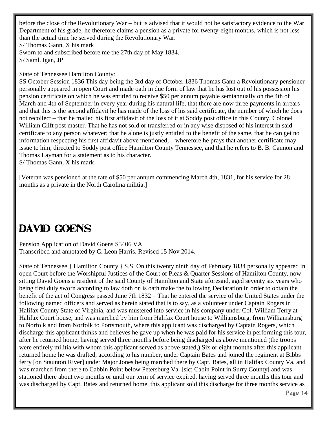before the close of the Revolutionary War – but is advised that it would not be satisfactory evidence to the War Department of his grade, he therefore claims a pension as a private for twenty-eight months, which is not less than the actual time he served during the Revolutionary War. S/ Thomas Gann, X his mark Sworn to and subscribed before me the 27th day of May 1834. S/ Saml. Igan, JP

State of Tennessee Hamilton County:

SS October Session 1836 This day being the 3rd day of October 1836 Thomas Gann a Revolutionary pensioner personally appeared in open Court and made oath in due form of law that he has lost out of his possession his pension certificate on which he was entitled to receive \$50 per annum payable semiannually on the 4th of March and 4th of September in every year during his natural life, that there are now three payments in arrears and that this is the second affidavit he has made of the loss of his said certificate, the number of which he does not recollect – that he mailed his first affidavit of the loss of it at Soddy post office in this County, Colonel William Clift post master. That he has not sold or transferred or in any wise disposed of his interest in said certificate to any person whatever; that he alone is justly entitled to the benefit of the same, that he can get no information respecting his first affidavit above mentioned, – wherefore he prays that another certificate may issue to him, directed to Soddy post office Hamilton County Tennessee, and that he refers to B. B. Cannon and Thomas Layman for a statement as to his character.

S/ Thomas Gann, X his mark

[Veteran was pensioned at the rate of \$50 per annum commencing March 4th, 1831, for his service for 28 months as a private in the North Carolina militia.]

### DAVID GOENS

Pension Application of David Goens S3406 VA Transcribed and annotated by C. Leon Harris. Revised 15 Nov 2014.

State of Tennessee } Hamilton County } S.S. On this twenty ninth day of February 1834 personally appeared in open Court before the Worshipful Justices of the Court of Pleas & Quarter Sessions of Hamilton County, now sitting David Goens a resident of the said County of Hamilton and State aforesaid, aged seventy six years who being first duly sworn according to law doth on is oath make the following Declaration in order to obtain the benefit of the act of Congress passed June 7th 1832 – That he entered the service of the United States under the following named officers and served as herein stated that is to say, as a volunteer under Captain Rogers in Halifax County State of Virginia, and was mustered into service in his company under Col. William Terry at Halifax Court house, and was marched by him from Halifax Court house to Williamsburg, from Williamsburg to Norfolk and from Norfolk to Portsmouth, where this applicant was discharged by Captain Rogers, which discharge this applicant thinks and believes he gave up when he was paid for his service in performing this tour, after he returned home, having served three months before being discharged as above mentioned (the troops were entirely militia with whom this applicant served as above stated,) Six or eight months after this applicant returned home he was drafted, according to his number, under Captain Bates and joined the regiment at Bibbs ferry [on Staunton River] under Major Jones being marched there by Capt. Bates, all in Halifax County Va. and was marched from there to Cabbin Point below Petersburg Va. [sic: Cabin Point in Surry County] and was stationed there about two months or until our term of service expired, having served three months this tour and was discharged by Capt. Bates and returned home. this applicant sold this discharge for three months service as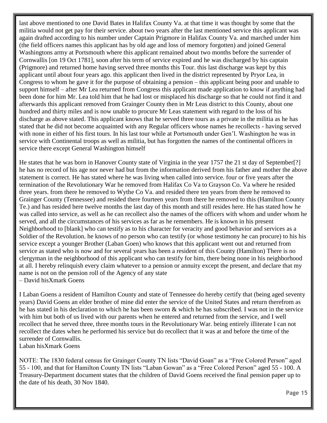last above mentioned to one David Bates in Halifax County Va. at that time it was thought by some that the militia would not get pay for their service. about two years after the last mentioned service this applicant was again drafted according to his number under Captain Prigmore in Halifax County Va. and marched under him (the field officers names this applicant has by old age and loss of memory forgotten) and joined General Washingtons army at Portsmouth where this applicant remained about two months before the surrender of Cornwallis [on 19 Oct 1781], soon after his term of service expired and he was discharged by his captain (Prigmore) and returned home having served three months this Tour. this last discharge was kept by this applicant until about four years ago. this applicant then lived in the district represented by Pryor Lea, in Congress to whom he gave it for the purpose of obtaining a pension – this applicant being poor and unable to support himself – after Mr Lea returned from Congress this applicant made application to know if anything had been done for him Mr. Lea told him that he had lost or misplaced his discharge so that he could not find it and afterwards this applicant removed from Grainger County then in Mr Leas district to this County, about one hundred and thirty miles and is now unable to procure Mr Leas statement with regard to the loss of his discharge as above stated. This applicant knows that he served three tours as a private in the militia as he has stated that he did not become acquainted with any Regular officers whose names he recollects - having served with none in either of his first tours. In his last tour while at Portsmouth under Gen'l. Washington he was in service with Continental troops as well as militia, but has forgotten the names of the continental officers in service there except General Washington himself

He states that he was born in Hanover County state of Virginia in the year 1757 the 21 st day of September[?] he has no record of his age nor never had but from the information derived from his father and mother the above statement is correct. He has stated where he was living when called into service. four or five years after the termination of the Revolutionary War he removed from Halifax Co Va to Grayson Co. Va where he resided three years. from there he removed to Wythe Co Va. and resided there ten years from there he removed to Grainger County (Tennessee) and resided there fourteen years from there he removed to this (Hamilton County Te.) and has resided here twelve months the last day of this month and still resides here. He has stated how he was called into service, as well as he can recollect also the names of the officers with whom and under whom he served, and all the circumstances of his services as far as he remembers. He is known in his present Neighborhood to [blank] who can testify as to his character for veracity and good behavior and services as a Soldier of the Revolution. he knows of no person who can testify (or whose testimony he can procure) to his his service except a younger Brother (Laban Goen) who knows that this applicant went out and returned from service as stated who is now and for several years has been a resident of this County (Hamilton) There is no clergyman in the neighborhood of this applicant who can testify for him, there being none in his neighborhood at all. I hereby relinquish every claim whatever to a pension or annuity except the present, and declare that my name is not on the pension roll of the Agency of any state – David hisXmark Goens

I Laban Goens a resident of Hamilton County and state of Tennessee do hereby certify that (being aged seventy years) David Goens an elder brother of mine did enter the service of the United States and return therefrom as he has stated in his declaration to which he has been sworn & which he has subscribed. I was not in the service with him but both of us lived with our parents when he entered and returned from the service, and I well recollect that he served three, three months tours in the Revolutionary War. being entirely illiterate I can not recollect the dates when he performed his service but do recollect that it was at and before the time of the surrender of Cornwallis. Laban hisXmark Goens

NOTE: The 1830 federal census for Grainger County TN lists "David Goan" as a "Free Colored Person" aged 55 - 100, and that for Hamilton County TN lists "Laban Gowan" as a "Free Colored Person" aged 55 - 100. A Treasury-Department document states that the children of David Goens received the final pension paper up to the date of his death, 30 Nov 1840.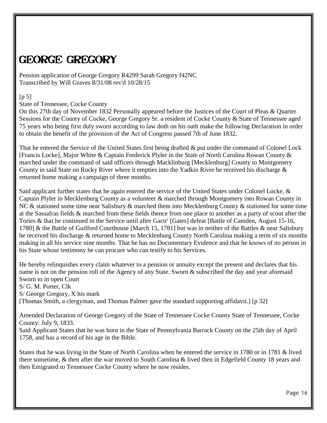### GEORGE GREGORY

Pension application of George Gregory R4299 Sarah Gregory f42NC Transcribed by Will Graves 8/31/08 rev'd 10/28/15

#### $[p 5]$

State of Tennessee, Cocke County

On this 27th day of November 1832 Personally appeared before the Justices of the Court of Pleas & Quarter Sessions for the County of Cocke, George Gregory Sr. a resident of Cocke County & State of Tennessee aged 75 years who being first duly sworn according to law doth on his oath make the following Declaration in order to obtain the benefit of the provision of the Act of Congress passed 7th of June 1832.

That he entered the Service of the United States first being drafted & put under the command of Colonel Lock [Francis Locke], Major White & Captain Frederick Plyler in the State of North Carolina Rowan County & marched under the command of said officers through Macklinburg [Mecklenburg] County to Montgomery County in said State on Rocky River where it empties into the Yadkin River he received his discharge & returned home making a campaign of three months.

Said applicant further states that he again entered the service of the United States under Colonel Locke, & Captain Plyler in Mecklenburg County as a volunteer & marched through Montgomery into Rowan County in NC & stationed some time near Salisbury & marched them into Mecklenburg County & stationed for some time at the Sassafras fields & marched from these fields thence from one place to another as a party of scout after the Tories & that he continued in the Service until after Gactr' [Gates] defeat [Battle of Camden, August 15-16, 1780] & the Battle of Guilford Courthouse [March 15, 1781] but was in neither of the Battles & near Salisbury he received his discharge & returned home to Mecklenburg County North Carolina making a term of six months making in all his service nine months. That he has no Documentary Evidence and that he knows of no person in his State whose testimony he can procure who can testify to his Services.

He hereby relinquishes every claim whatever to a pension or annuity except the present and declares that his name is not on the pension roll of the Agency of any State. Sworn & subscribed the day and year aforesaid Sworn to in open Court S/ G. M. Porter, Clk S/ George Gregory, X his mark [Thomas Smith, a clergyman, and Thomas Palmer gave the standard supporting affidavit.] [p 32]

Amended Declaration of George Gregory of the State of Tennessee Cocke County State of Tennessee, Cocke County: July 9, 1833.

Said Applicant States that he was born in the State of Pennsylvania Barrack County on the 25th day of April 1758, and has a record of his age in the Bible.

States that he was living in the State of North Carolina when he entered the service in 1780 or in 1781 & lived there sometime, & then after the war moved to South Carolina & lived then in Edgefield County 18 years and then Emigrated to Tennessee Cocke County where he now resides.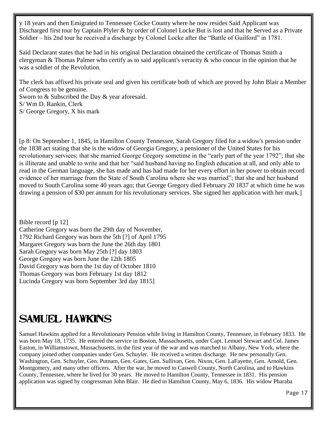y 18 years and then Emigrated to Tennessee Cocke County where he now resides Said Applicant was Discharged first tour by Captain Plyler & by order of Colonel Locke But is lost and that he Served as a Private Soldier – his 2nd tour he received a discharge by Colonel Locke after the "Battle of Guilford" in 1781.

Said Declarant states that he had in his original Declaration obtained the certificate of Thomas Smith a clergyman & Thomas Palmer who certify as to said applicant's veracity & who concur in the opinion that he was a soldier of the Revolution.

The clerk has affixed his private seal and given his certificate both of which are proved by John Blair a Member of Congress to be genuine.

Sworn to & Subscribed the Day & year aforesaid. S/ Wm D. Rankin, Clerk S/ George Gregory, X his mark

[p 8: On September 1, 1845, in Hamilton County Tennessee, Sarah Gregory filed for a widow's pension under the 1838 act stating that she is the widow of Georgia Gregory, a pensioner of the United States for his revolutionary services; that she married George Gregory sometime in the "early part of the year 1792"; that she is illiterate and unable to write and that her "said husband having no English education at all, and only able to read in the German language, she has made and has had made for her every effort in her power to obtain record evidence of her marriage from the State of South Carolina where she was married"; that she and her husband moved to South Carolina some 40 years ago; that George Gregory died February 20 1837 at which time he was drawing a pension of \$30 per annum for his revolutionary services. She signed her application with her mark.]

Bible record [p 12] Catherine Gregory was born the 29th day of November, 1792 Richard Gregory was born the 5th [?] of April 1795 Margaret Gregory was born the June the 26th day 1801 Sarah Gregory was born May 25th [?] day 1803 George Gregory was born June the 12th 1805 David Gregory was born the 1st day of October 1810 Thomas Gregory was born February 1st day 1812 Lucinda Gregory was born September 3rd day 1815]

# Samuel Hawkins

Samuel Hawkins applied for a Revolutionary Pension while living in Hamilton County, Tennessee, in February 1833. He was born May 18, 1735. He entered the service in Boston, Massachusetts, under Capt. Lemuel Stewart and Col. James Easton, in Williamstown, Massachusetts, in the first year of the war and was marched to Albany, New York, where the company joined other companies under Gen. Schuyler. He received a written discharge. He new personally Gen. Washington, Gen. Schuyler, Gen. Putnam, Gen. Gates, Gen. Sullivan, Gen. Nixon, Gen. LaFayette, Gen. Arnold, Gen. Montgomery, and many other officers. After the war, he moved to Caswell County, North Carolina, and to Hawkins County, Tennessee, where he lived for 30 years. He moved to Hamilton County, Tennessee in 1831. His pension application was signed by congressman John Blair. He died in Hamilton County, May 6, 1836. His widow Pharaba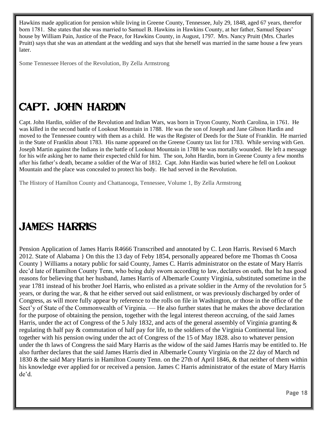Hawkins made application for pension while living in Greene County, Tennessee, July 29, 1848, aged 67 years, therefor born 1781. She states that she was married to Samuel B. Hawkins in Hawkins County, at her father, Samuel Spears' house by William Pain, Justice of the Peace, for Hawkins County, in August, 1797. Mrs. Nancy Pruitt (Mrs. Charles Pruitt) says that she was an attendant at the wedding and says that she herself was married in the same house a few years later.

Some Tennessee Heroes of the Revolution, By Zella Armstrong

# Capt. John Hardin

Capt. John Hardin, soldier of the Revolution and Indian Wars, was born in Tryon County, North Carolina, in 1761. He was killed in the second battle of Lookout Mountain in 1788. He was the son of Joseph and Jane Gibson Hardin and moved to the Tennessee country with them as a child. He was the Register of Deeds for the State of Franklin. He married in the State of Franklin about 1783. His name appeared on the Greene County tax list for 1783. While serving with Gen. Joseph Martin against the Indians in the battle of Lookout Mountain in 1788 he was mortally wounded. He left a message for his wife asking her to name their expected child for him. The son, John Hardin, born in Greene County a few months after his father's death, became a soldier of the War of 1812. Capt. John Hardin was buried where he fell on Lookout Mountain and the place was concealed to protect his body. He had served in the Revolution.

The History of Hamilton County and Chattanooga, Tennessee, Volume 1, By Zella Armstrong

### James Harris

Pension Application of James Harris R4666 Transcribed and annotated by C. Leon Harris. Revised 6 March 2012. State of Alabama } On this the 13 day of Feby 1854, personally appeared before me Thomas th Coosa County } Williams a notary public for said County, James C. Harris administrator on the estate of Mary Harris dec'd late of Hamilton County Tenn, who being duly sworn according to law, declares on oath, that he has good reasons for believing that her husband, James Harris of Albemarle County Virginia, substituted sometime in the year 1781 instead of his brother Joel Harris, who enlisted as a private soldier in the Army of the revolution for 5 years, or during the war, & that he either served out said enlistment, or was previously discharged by order of Congress, as will more fully appear by reference to the rolls on file in Washington, or those in the office of the Sect'y of State of the Commonwealth of Virginia. — He also further states that he makes the above declaration for the purpose of obtaining the pension, together with the legal interest thereon accruing, of the said James Harris, under the act of Congress of the 5 July 1832, and acts of the general assembly of Virginia granting & regulating th half pay & commutation of half pay for life, to the soldiers of the Virginia Continental line, together with his pension owing under the act of Congress of the 15 of May 1828. also to whatever pension under the th laws of Congress the said Mary Harris as the widow of the said James Harris may be entitled to. He also further declares that the said James Harris died in Albemarle County Virginia on the 22 day of March nd 1830 & the said Mary Harris in Hamilton County Tenn. on the 27th of April 1846, & that neither of them within his knowledge ever applied for or received a pension. James C Harris administrator of the estate of Mary Harris de'd.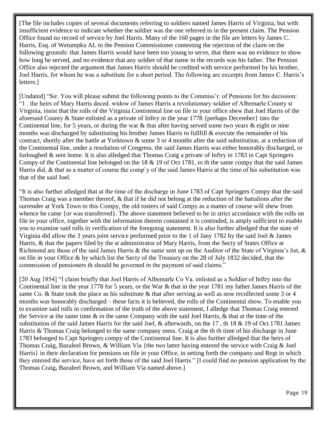[The file includes copies of several documents referring to soldiers named James Harris of Virginia, but with insufficient evidence to indicate whether the soldier was the one referred to in the present claim. The Pension Office found no record of service by Joel Harris. Many of the 160 pages in the file are letters by James C. Harris, Esq. of Wetumpka AL to the Pension Commissioner contesting the rejection of the claim on the following grounds: that James Harris would have been too young to serve, that there was no evidence to show how long he served, and no evidence that any soldier of that name in the records was his father. The Pension Office also rejected the argument that James Harris should be credited with service performed by his brother, Joel Harris, for whom he was a substitute for a short period. The following are excerpts from James C. Harris's letters:]

[Undated] "Sir. You will please submit the following points to the Commiss'r. of Pensions for his decission: "1 . the heirs of Mary Harris deced. widow of James Harris a revolutionary soldier of Albemarle County st Virginia, insist that the rolls of the Virginia Continental line on file in your office shew that Joel Harris of the aforesaid County & State enlisted as a private of Inftry in the year 1778 {perhaps December} into the Continental line, for 5 years, or during the war & that after having served some two years & eight or nine months was discharged by substituting his brother James Harris to fullfill & execute the remainder of his contract, shortly after the battle at Yorktown & some 3 or 4 months after the said substitution, at a reduction of the Continental line, under a resolution of Congress. the said James Harris was either honorably discharged, or furloughed & sent home. It is also alledged that Thomas Craig a private of Inftry in 1783 in Capt Springers Compy of the Continental line belonged on the 18 & 19 of Oct 1781, to th the same compy that the said James Harris did, & that as a matter of course the comp'y of the said James Harris at the time of his substitution was that of the said Joel.

"It is also further alledged that at the time of the discharge in June 1783 of Capt Springers Compy that the said Thomas Craig was a member thereof, & that if he did not belong at the reduction of the battalions after the surrender at York Town to this Compy, the old rosters of said Compy as a matter of course will shew from whence he came {or was transferred}. The above statement believed to be in strict accordance with the rolls on file in your office, together with the information therein contained it is continded, is amply sufficient to enable you to examine said rolls in verification of the foregoing statement. It is also further alledged that the state of Virginia did allow the 3 years joint service performed prior to the 1 of Jany 1782 by the said Joel & James Harris, & that the papers filed by the st administrator of Mary Harris, from the Secty of States Office at Richmond are those of the said James Harris & the same sent up on the Auditor of the State of Virginia's list,  $\&$ on file in your Office & by which list the Secty of the Treasury on the 28 of July 1832 decided, that the commission of pensioners th should be governed in the payment of said claims."

[20 Aug 1854] "I claim briefly that Joel Harris of Albemarle Co Va. enlisted as a Soldier of Inftry into the Continental line in the year 1778 for 5 years, or the War & that in the year 1781 my father James Harris of the same Co. & State took the place as his substitute & that after serving as well as now recollected some 3 or 4 months was honorably discharged – these facts it is believed, the rolls of the Continental show. To enable you to examine said rolls in confirmation of the truth of the above statement, I alledge that Thomas Craig entered the Service at the same time & in the same Company with the said Joel Harris, & that at the time of the substitution of the said James Harris for the said Joel, & afterwards, on the 17 , th 18 & 19 of Oct 1781 James Harris & Thomas Craig belonged to the same company mess. Craig at the th th time of his discharge in June 1783 belonged to Capt Springers compy of the Continental line. It is also further alledged that the heirs of Thomas Craig, Bazaleel Brown, & William Via {the two latter having entered the service with Craig & Joel Harris} in their declaration for pensions on file in your Office, in setting forth the company and Regt in which they entered the service, have set forth those of the said Joel Harris." [I could find no pension application by the Thomas Craig, Bazaleel Brown, and William Via named above.]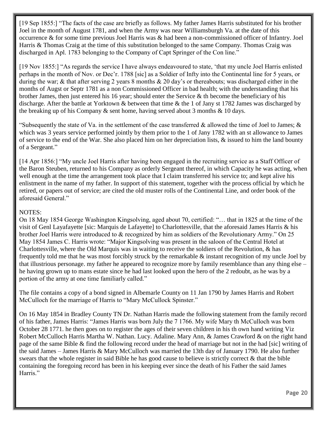[19 Sep 1855:] "The facts of the case are briefly as follows. My father James Harris substituted for his brother Joel in the month of August 1781, and when the Army was near Williamsburgh Va. at the date of this occurrence & for some time previous Joel Harris was & had been a non-commissioned officer of Infantry. Joel Harris & Thomas Craig at the time of this substitution belonged to the same Company. Thomas Craig was discharged in Apl. 1783 belonging to the Company of Capt Springer of the Con line."

[19 Nov 1855:] "As regards the service I have always endeavoured to state, 'that my uncle Joel Harris enlisted perhaps in the month of Nov. or Dec'r. 1788 [sic] as a Soldier of Infty into the Continental line for 5 years, or during the war; & that after serving 2 years 8 months & 20 day's or thereabouts; was discharged either in the months of Augst or Septr 1781 as a non Commissioned Officer in bad health; with the understanding that his brother James, then just entered his 16 year; should enter the Service & th become the beneficiary of his discharge. After the battle at Yorktown & between that time & the 1 of Jany st 1782 James was discharged by the breaking up of his Company  $\&$  sent home, having served about 3 months  $\&$  10 days.

"Subsequently the state of Va. in the settlement of the case transferred & allowed the time of Joel to James;  $\&$ which was 3 years service performed jointly by them prior to the 1 of Jany 1782 with an st allowance to James of service to the end of the War. She also placed him on her depreciation lists, & issued to him the land bounty of a Sergeant."

[14 Apr 1856:] "My uncle Joel Harris after having been engaged in the recruiting service as a Staff Officer of the Baron Steuben, returned to his Company as orderly Sergeant thereof, in which Capacity he was acting, when well enough at the time the arrangement took place that I claim transferred his service to; and kept alive his enlistment in the name of my father. In support of this statement, together with the process official by which he retired, or papers out of service; are cited the old muster rolls of the Continental Line, and order book of the aforesaid General."

#### NOTES:

On 18 May 1854 George Washington Kingsolving, aged about 70, certified: "… that in 1825 at the time of the visit of Genl Layafayette [sic: Marquis de Lafayette] to Charlottesville, that the aforesaid James Harris & his brother Joel Harris were introduced to & recognized by him as soldiers of the Revolutionary Army." On 25 May 1854 James C. Harris wrote: "Major Kingsolving was present in the saloon of the Central Hotel at Charlottesville, where the Old Marquis was in waiting to receive the soldiers of the Revolution,  $\&$  has frequently told me that he was most forcibly struck by the remarkable & instant recognition of my uncle Joel by that illustrious personage. my father he appeared to recognize more by family resemblance than any thing else – he having grown up to mans estate since he had last looked upon the hero of the 2 redoubt, as he was by a portion of the army at one time familiarly called."

The file contains a copy of a bond signed in Albemarle County on 11 Jan 1790 by James Harris and Robert McCulloch for the marriage of Harris to "Mary McCullock Spinster."

On 16 May 1854 in Bradley County TN Dr. Nathan Harris made the following statement from the family record of his father, James Harris: "James Harris was born July the 7 1766. My wife Mary th McCulloch was born October 28 1771. he then goes on to register the ages of their seven children in his th own hand writing Viz Robert McCulloch Harris Martha W. Nathan. Lucy. Adaline. Mary Ann, & James Crawford & on the right hand page of the same Bible & find the following record under the head of marriage but not in the had [sic] writing of the said James – James Harris & Mary McCulloch was married the 13th day of January 1790. He also further swears that the whole register in said Bible he has good cause to believe is strictly correct & that the bible containing the foregoing record has been in his keeping ever since the death of his Father the said James Harris."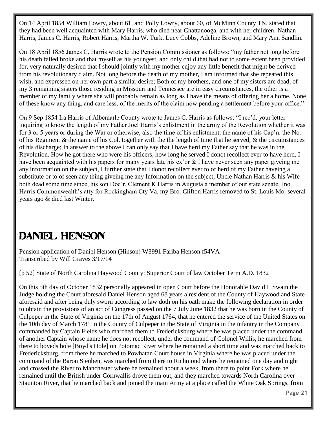On 14 April 1854 William Lowry, about 61, and Polly Lowry, about 60, of McMinn County TN, stated that they had been well acquainted with Mary Harris, who died near Chattanooga, and with her children: Nathan Harris, James C. Harris, Robert Harris, Martha W. Turk, Lucy Cobbs, Adeline Brown, and Mary Ann Sandlin.

On 18 April 1856 James C. Harris wrote to the Pension Commissioner as follows: "my father not long before his death failed broke and that myself as his youngest, and only child that had not to some extent been provided for, very naturally desired that I should jointly with my mother enjoy any little benefit that might be derived from his revolutionary claim. Not long before the death of my mother, I am informed that she repeated this wish, and expressed on her own part a similar desire; Both of my brothers, and one of my sisters are dead, of my 3 remaining sisters those residing in Missouri and Tennessee are in easy circumstances, the other is a member of my family where she will probably remain as long as I have the means of offering her a home. None of these know any thing, and care less, of the merits of the claim now pending a settlement before your office."

On 9 Sep 1854 Ira Harris of Albemarle County wrote to James C. Harris as follows: "I rec'd. your letter inquiring to know the length of my Father Joel Harris's enlistment in the army of the Revolution whether it was for 3 or 5 years or during the War or otherwise, also the time of his enlistment, the name of his Cap'n. the No. of his Regiment & the name of his Col. together with the the length of time that he served,  $\&$  the circumstances of his discharge; In answer to the above I can only say that I have herd my Father say that he was in the Revolution. How he got there who were his officers, how long he served I donot recollect ever to have herd, I have been acquainted with his papers for many years late his ex'or & I have never seen any paper giveing me any information on the subject, I further state that I donot recollect ever to of herd of my Father haveing a substitute or to of seen any thing giveing me any Information on the subject; Uncle Nathan Harris & his Wife both dead some time since, his son Doc'r. Clement K Harris in Augusta a member of our state senate, Jno. Harris Commonwealth's atty for Rockingham Cty Va, my Bro. Clifton Harris removed to St. Louis Mo. several years ago & died last Winter.

### Daniel Henson

Pension application of Daniel Henson (Hinson) W3991 Fariba Henson f54VA Transcribed by Will Graves 3/17/14

[p 52] State of North Carolina Haywood County: Superior Court of law October Term A.D. 1832

On this 5th day of October 1832 personally appeared in open Court before the Honorable David L Swain the Judge holding the Court aforesaid Daniel Henson aged 68 years a resident of the County of Haywood and State aforesaid and after being duly sworn according to law doth on his oath make the following declaration in order to obtain the provisions of an act of Congress passed on the 7 July June 1832 that he was born in the County of Culpeper in the State of Virginia on the 17th of August 1764, that he entered the service of the United States on the 10th day of March 1781 in the County of Culpeper in the State of Virginia in the infantry in the Company commanded by Captain Fields who marched them to Fredericksburg where he was placed under the command of another Captain whose name he does not recollect, under the command of Colonel Willis, he marched from there to boyeds hole [Boyd's Hole] on Potomac River where he remained a short time and was marched back to Fredericksburg, from there he marched to Powhatan Court house in Virginia where he was placed under the command of the Baron Steuben, was marched from there to Richmond where he remained one day and night and crossed the River to Manchester where he remained about a week, from there to point Fork where he remained until the British under Cornwallis drove them out, and they marched towards North Carolina over Staunton River, that he marched back and joined the main Army at a place called the White Oak Springs, from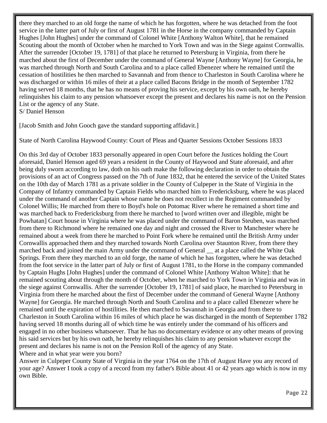there they marched to an old forge the name of which he has forgotten, where he was detached from the foot service in the latter part of July or first of August 1781 in the Horse in the company commanded by Captain Hughes [John Hughes] under the command of Colonel White [Anthony Walton White], that he remained Scouting about the month of October when he marched to York Town and was in the Siege against Cornwallis. After the surrender [October 19, 1781] of that place he returned to Petersburg in Virginia, from there he marched about the first of December under the command of General Wayne [Anthony Wayne] for Georgia, he was marched through North and South Carolina and to a place called Ebenezer where he remained until the cessation of hostilities he then marched to Savannah and from thence to Charleston in South Carolina where he was discharged or within 16 miles of their at a place called Bacons Bridge in the month of September 1782 having served 18 months, that he has no means of proving his service, except by his own oath, he hereby relinquishes his claim to any pension whatsoever except the present and declares his name is not on the Pension List or the agency of any State.

S/ Daniel Henson

[Jacob Smith and John Gooch gave the standard supporting affidavit.]

State of North Carolina Haywood County: Court of Pleas and Quarter Sessions October Sessions 1833

On this 3rd day of October 1833 personally appeared in open Court before the Justices holding the Court aforesaid, Daniel Henson aged 69 years a resident in the County of Haywood and State aforesaid, and after being duly sworn according to law, doth on his oath make the following declaration in order to obtain the provisions of an act of Congress passed on the 7th of June 1832, that he entered the service of the United States on the 10th day of March 1781 as a private soldier in the County of Culpeper in the State of Virginia in the Company of Infantry commanded by Captain Fields who marched him to Fredericksburg, where he was placed under the command of another Captain whose name he does not recollect in the Regiment commanded by Colonel Willis; He marched from there to Boyd's hole on Potomac River where he remained a short time and was marched back to Fredericksburg from there he marched to [word written over and illegible, might be Powhatan] Court house in Virginia where he was placed under the command of Baron Steuben, was marched from there to Richmond where he remained one day and night and crossed the River to Manchester where he remained about a week from there he marched to Point Fork where he remained until the British Army under Cornwallis approached them and they marched towards North Carolina over Staunton River, from there they marched back and joined the main Army under the command of General at a place called the White Oak Springs. From there they marched to an old forge, the name of which he has forgotten, where he was detached from the foot service in the latter part of July or first of August 1781, to the Horse in the company commanded by Captain Hughs [John Hughes] under the command of Colonel White [Anthony Walton White]: that he remained scouting about through the month of October, when he marched to York Town in Virginia and was in the siege against Cornwallis. After the surrender [October 19, 1781] of said place, he marched to Petersburg in Virginia from there he marched about the first of December under the command of General Wayne [Anthony Wayne] for Georgia. He marched through North and South Carolina and to a place called Ebenezer where he remained until the expiration of hostilities. He then marched to Savannah in Georgia and from there to Charleston in South Carolina within 16 miles of which place he was discharged in the month of September 1782 having served 18 months during all of which time he was entirely under the command of his officers and engaged in no other business whatsoever. That he has no documentary evidence or any other means of proving his said services but by his own oath, he hereby relinquishes his claim to any pension whatever except the present and declares his name is not on the Pension Roll of the agency of any State. Where and in what year were you born?

Answer in Culpeper County State of Virginia in the year 1764 on the 17th of August Have you any record of your age? Answer I took a copy of a record from my father's Bible about 41 or 42 years ago which is now in my own Bible.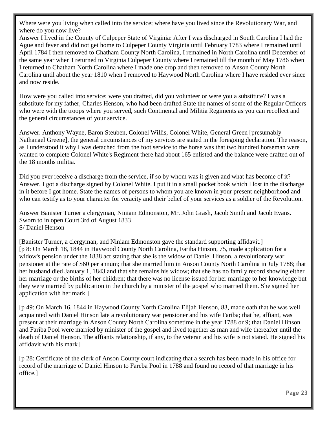Where were you living when called into the service; where have you lived since the Revolutionary War, and where do you now live?

Answer I lived in the County of Culpeper State of Virginia: After I was discharged in South Carolina I had the Ague and fever and did not get home to Culpeper County Virginia until February 1783 where I remained until April 1784 I then removed to Chatham County North Carolina, I remained in North Carolina until December of the same year when I returned to Virginia Culpeper County where I remained till the month of May 1786 when I returned to Chatham North Carolina where I made one crop and then removed to Anson County North Carolina until about the year 1810 when I removed to Haywood North Carolina where I have resided ever since and now reside.

How were you called into service; were you drafted, did you volunteer or were you a substitute? I was a substitute for my father, Charles Henson, who had been drafted State the names of some of the Regular Officers who were with the troops where you served, such Continental and Militia Regiments as you can recollect and the general circumstances of your service.

Answer. Anthony Wayne, Baron Steuben, Colonel Willis, Colonel White, General Green [presumably Nathanael Greene], the general circumstances of my services are stated in the foregoing declaration. The reason, as I understood it why I was detached from the foot service to the horse was that two hundred horseman were wanted to complete Colonel White's Regiment there had about 165 enlisted and the balance were drafted out of the 18 months militia.

Did you ever receive a discharge from the service, if so by whom was it given and what has become of it? Answer. I got a discharge signed by Colonel White. I put it in a small pocket book which I lost in the discharge in it before I got home. State the names of persons to whom you are known in your present neighborhood and who can testify as to your character for veracity and their belief of your services as a soldier of the Revolution.

Answer Banister Turner a clergyman, Niniam Edmonston, Mr. John Grash, Jacob Smith and Jacob Evans. Sworn to in open Court 3rd of August 1833 S/ Daniel Henson

[Banister Turner, a clergyman, and Niniam Edmonston gave the standard supporting affidavit.] [p 8: On March 18, 1844 in Haywood County North Carolina, Fariba Hinson, 75, made application for a widow's pension under the 1838 act stating that she is the widow of Daniel Hinson, a revolutionary war pensioner at the rate of \$60 per annum; that she married him in Anson County North Carolina in July 1788; that her husband died January 1, 1843 and that she remains his widow; that she has no family record showing either her marriage or the births of her children; that there was no license issued for her marriage to her knowledge but they were married by publication in the church by a minister of the gospel who married them. She signed her application with her mark.]

[p 49: On March 16, 1844 in Haywood County North Carolina Elijah Henson, 83, made oath that he was well acquainted with Daniel Hinson late a revolutionary war pensioner and his wife Fariba; that he, affiant, was present at their marriage in Anson County North Carolina sometime in the year 1788 or 9; that Daniel Hinson and Fariba Pool were married by minister of the gospel and lived together as man and wife thereafter until the death of Daniel Henson. The affiants relationship, if any, to the veteran and his wife is not stated. He signed his affidavit with his mark]

[p 28: Certificate of the clerk of Anson County court indicating that a search has been made in his office for record of the marriage of Daniel Hinson to Fareba Pool in 1788 and found no record of that marriage in his office.]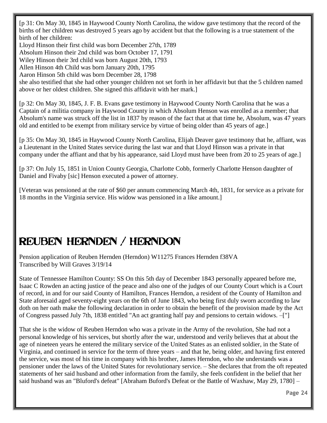[p 31: On May 30, 1845 in Haywood County North Carolina, the widow gave testimony that the record of the births of her children was destroyed 5 years ago by accident but that the following is a true statement of the birth of her children:

Lloyd Hinson their first child was born December 27th, 1789

Absolum Hinson their 2nd child was born October 17, 1791

Wiley Hinson their 3rd child was born August 20th, 1793

Allen Hinson 4th Child was born January 20th, 1795

Aaron Hinson 5th child was born December 28, 1798

she also testified that she had other younger children not set forth in her affidavit but that the 5 children named above or her oldest children. She signed this affidavit with her mark.]

[p 32: On May 30, 1845, J. F. B. Evans gave testimony in Haywood County North Carolina that he was a Captain of a militia company in Haywood County in which Absolum Henson was enrolled as a member; that Absolum's name was struck off the list in 1837 by reason of the fact that at that time he, Absolum, was 47 years old and entitled to be exempt from military service by virtue of being older than 45 years of age.]

[p 35: On May 30, 1845 in Haywood County North Carolina, Elijah Deaver gave testimony that he, affiant, was a Lieutenant in the United States service during the last war and that Lloyd Hinson was a private in that company under the affiant and that by his appearance, said Lloyd must have been from 20 to 25 years of age.]

[p 37: On July 15, 1851 in Union County Georgia, Charlotte Cobb, formerly Charlotte Henson daughter of Daniel and Fivaby [sic] Henson executed a power of attorney.

[Veteran was pensioned at the rate of \$60 per annum commencing March 4th, 1831, for service as a private for 18 months in the Virginia service. His widow was pensioned in a like amount.]

# Reuben Hernden / Herndon

Pension application of Reuben Hernden (Herndon) W11275 Frances Hernden f38VA Transcribed by Will Graves 3/19/14

State of Tennessee Hamilton County: SS On this 5th day of December 1843 personally appeared before me, Isaac C Rowden an acting justice of the peace and also one of the judges of our County Court which is a Court of record, in and for our said County of Hamilton, Frances Herndon, a resident of the County of Hamilton and State aforesaid aged seventy-eight years on the 6th of June 1843, who being first duly sworn according to law doth on her oath make the following declaration in order to obtain the benefit of the provision made by the Act of Congress passed July 7th, 1838 entitled "An act granting half pay and pensions to certain widows. –["]

That she is the widow of Reuben Herndon who was a private in the Army of the revolution, She had not a personal knowledge of his services, but shortly after the war, understood and verily believes that at about the age of nineteen years he entered the military service of the United States as an enlisted soldier, in the State of Virginia, and continued in service for the term of three years – and that he, being older, and having first entered the service, was most of his time in company with his brother, James Herndon, who she understands was a pensioner under the laws of the United States for revolutionary service. – She declares that from the oft repeated statements of her said husband and other information from the family, she feels confident in the belief that her said husband was an "Bluford's defeat" [Abraham Buford's Defeat or the Battle of Waxhaw, May 29, 1780] –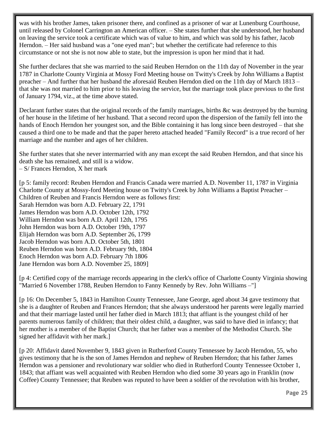was with his brother James, taken prisoner there, and confined as a prisoner of war at Lunenburg Courthouse, until released by Colonel Carrington an American officer. – She states further that she understood, her husband on leaving the service took a certificate which was of value to him, and which was sold by his father, Jacob Herndon. – Her said husband was a "one eyed man"; but whether the certificate had reference to this circumstance or not she is not now able to state, but the impression is upon her mind that it had.

She further declares that she was married to the said Reuben Herndon on the 11th day of November in the year 1787 in Charlotte County Virginia at Mossy Ford Meeting house on Twitty's Creek by John Williams a Baptist preacher – And further that her husband the aforesaid Reuben Herndon died on the 11th day of March 1813 – that she was not married to him prior to his leaving the service, but the marriage took place previous to the first of January 1794, viz., at the time above stated.

Declarant further states that the original records of the family marriages, births &c was destroyed by the burning of her house in the lifetime of her husband. That a second record upon the dispersion of the family fell into the hands of Enoch Herndon her youngest son, and the Bible containing it has long since been destroyed – that she caused a third one to be made and that the paper hereto attached headed "Family Record" is a true record of her marriage and the number and ages of her children.

She further states that she never intermarried with any man except the said Reuben Herndon, and that since his death she has remained, and still is a widow.

– S/ Frances Herndon, X her mark

[p 5: family record: Reuben Herndon and Francis Canada were married A.D. November 11, 1787 in Virginia Charlotte County at Mossy-ford Meeting house on Twitty's Creek by John Williams a Baptist Preacher – Children of Reuben and Francis Herndon were as follows first:

Sarah Herndon was born A.D. February 22, 1791 James Herndon was born A.D. October 12th, 1792 William Herndon was born A.D. April 12th, 1795 John Herndon was born A.D. October 19th, 1797 Elijah Herndon was born A.D. September 26, 1799 Jacob Herndon was born A.D. October 5th, 1801 Reuben Herndon was born A.D. February 9th, 1804 Enoch Herndon was born A.D. February 7th 1806 Jane Herndon was born A.D. November 25, 1809]

[p 4: Certified copy of the marriage records appearing in the clerk's office of Charlotte County Virginia showing "Married 6 November 1788, Reuben Herndon to Fanny Kennedy by Rev. John Williams –"]

[p 16: On December 5, 1843 in Hamilton County Tennessee, Jane George, aged about 34 gave testimony that she is a daughter of Reuben and Frances Herndon; that she always understood her parents were legally married and that their marriage lasted until her father died in March 1813; that affiant is the youngest child of her parents numerous family of children; that their oldest child, a daughter, was said to have died in infancy; that her mother is a member of the Baptist Church; that her father was a member of the Methodist Church. She signed her affidavit with her mark.]

[p 20: Affidavit dated November 9, 1843 given in Rutherford County Tennessee by Jacob Herndon, 55, who gives testimony that he is the son of James Herndon and nephew of Reuben Herndon; that his father James Herndon was a pensioner and revolutionary war soldier who died in Rutherford County Tennessee October 1, 1843; that affiant was well acquainted with Reuben Herndon who died some 30 years ago in Franklin (now Coffee) County Tennessee; that Reuben was reputed to have been a soldier of the revolution with his brother,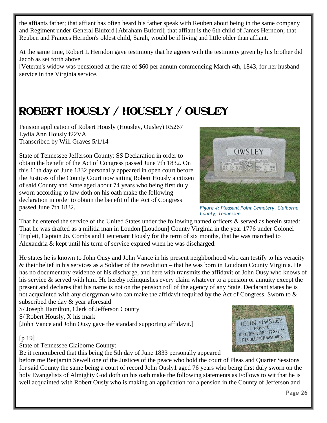the affiants father; that affiant has often heard his father speak with Reuben about being in the same company and Regiment under General Bluford [Abraham Buford]; that affiant is the 6th child of James Herndon; that Reuben and Frances Herndon's oldest child, Sarah, would be if living and little older than affiant.

At the same time, Robert L Herndon gave testimony that he agrees with the testimony given by his brother did Jacob as set forth above.

[Veteran's widow was pensioned at the rate of \$60 per annum commencing March 4th, 1843, for her husband service in the Virginia service.]

# Robert Hously / Housely / Ousley

Pension application of Robert Hously (Housley, Ousley) R5267 Lydia Ann Hously f22VA Transcribed by Will Graves 5/1/14

State of Tennessee Jefferson County: SS Declaration in order to obtain the benefit of the Act of Congress passed June 7th 1832. On this 11th day of June 1832 personally appeared in open court before

of said County and State aged about 74 years who being first duly sworn according to law doth on his oath make the following declaration in order to obtain the benefit of the Act of Congress



*Figure 4: Pleasant Point Cemetery, Claiborne County, Tennessee*

That he entered the service of the United States under the following named officers & served as herein stated: That he was drafted as a militia man in Loudon [Loudoun] County Virginia in the year 1776 under Colonel Triplett, Captain Jo. Combs and Lieutenant Hously for the term of six months, that he was marched to Alexandria & kept until his term of service expired when he was discharged.

He states he is known to John Ousy and John Vance in his present neighborhood who can testify to his veracity & their belief in his services as a Soldier of the revolution – that he was born in Loudoun County Virginia. He has no documentary evidence of his discharge, and here with transmits the affidavit of John Ousy who knows of his service & served with him. He hereby relinquishes every claim whatever to a pension or annuity except the present and declares that his name is not on the pension roll of the agency of any State. Declarant states he is not acquainted with any clergyman who can make the affidavit required by the Act of Congress. Sworn to & subscribed the day & year aforesaid

S/ Joseph Hamilton, Clerk of Jefferson County S/ Robert Hously, X his mark [John Vance and John Ousy gave the standard supporting affidavit.]

#### [p 19]

passed June 7th 1832.

State of Tennessee Claiborne County:

Be it remembered that this being the 5th day of June 1833 personally appeared

before me Benjamin Sewell one of the Justices of the peace who hold the court of Pleas and Quarter Sessions for said County the same being a court of record John Ously1 aged 76 years who being first duly sworn on the holy Evangelists of Almighty God doth on his oath make the following statements as Follows to wit that he is well acquainted with Robert Ously who is making an application for a pension in the County of Jefferson and

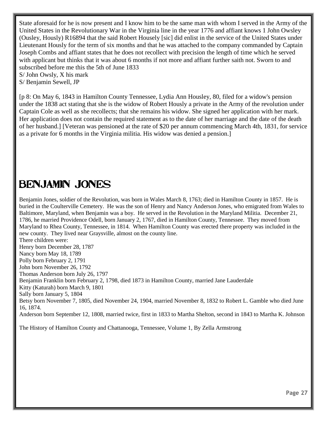State aforesaid for he is now present and I know him to be the same man with whom I served in the Army of the United States in the Revolutionary War in the Virginia line in the year 1776 and affiant knows 1 John Owsley (Ousley, Hously) R16894 that the said Robert Housely [sic] did enlist in the service of the United States under Lieutenant Hously for the term of six months and that he was attached to the company commanded by Captain Joseph Combs and affiant states that he does not recollect with precision the length of time which he served with applicant but thinks that it was about 6 months if not more and affiant further saith not. Sworn to and subscribed before me this the 5th of June 1833 S/ John Owsly, X his mark

S/ Benjamin Sewell, JP

[p 8: On May 6, 1843 in Hamilton County Tennessee, Lydia Ann Housley, 80, filed for a widow's pension under the 1838 act stating that she is the widow of Robert Hously a private in the Army of the revolution under Captain Cole as well as she recollects; that she remains his widow. She signed her application with her mark. Her application does not contain the required statement as to the date of her marriage and the date of the death of her husband.] [Veteran was pensioned at the rate of \$20 per annum commencing March 4th, 1831, for service as a private for 6 months in the Virginia militia. His widow was denied a pension.]

#### Benjamin Jones

Benjamin Jones, soldier of the Revolution, was born in Wales March 8, 1763; died in Hamilton County in 1857. He is buried in the Coulterville Cemetery. He was the son of Henry and Nancy Anderson Jones, who emigrated from Wales to Baltimore, Maryland, when Benjamin was a boy. He served in the Revolution in the Maryland Militia. December 21, 1786, he married Providence Odell, born January 2, 1767, died in Hamilton County, Tennessee. They moved from Maryland to Rhea County, Tennessee, in 1814. When Hamilton County was erected there property was included in the new county. They lived near Graysville, almost on the county line. There children were: Henry born December 28, 1787 Nancy born May 18, 1789 Polly born February 2, 1791 John born November 26, 1792 Thomas Anderson born July 26, 1797 Benjamin Franklin born February 2, 1798, died 1873 in Hamilton County, married Jane Lauderdale Kitty (Katurah) born March 9, 1801 Sally born January 5, 1804 Betsy born November 7, 1805, died November 24, 1904, married November 8, 1832 to Robert L. Gamble who died June 16, 1874. Anderson born September 12, 1808, married twice, first in 1833 to Martha Shelton, second in 1843 to Martha K. Johnson

The History of Hamilton County and Chattanooga, Tennessee, Volume 1, By Zella Armstrong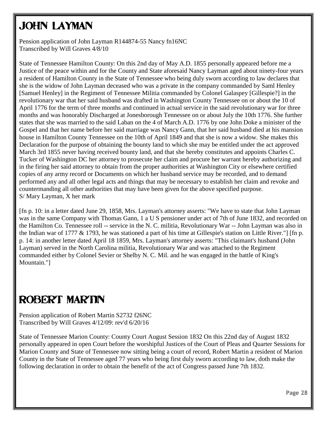# **JOHN LAYMAN**

Pension application of John Layman R144874-55 Nancy fn16NC Transcribed by Will Graves 4/8/10

State of Tennessee Hamilton County: On this 2nd day of May A.D. 1855 personally appeared before me a Justice of the peace within and for the County and State aforesaid Nancy Layman aged about ninety-four years a resident of Hamilton County in the State of Tennessee who being duly sworn according to law declares that she is the widow of John Layman deceased who was a private in the company commanded by Saml Henley [Samuel Henley] in the Regiment of Tennessee Militia commanded by Colonel Galaspey [Gillespie?] in the revolutionary war that her said husband was drafted in Washington County Tennessee on or about the 10 of April 1776 for the term of three months and continued in actual service in the said revolutionary war for three months and was honorably Discharged at Jonesborough Tennessee on or about July the 10th 1776. She further states that she was married to the said Laban on the 4 of March A.D. 1776 by one John Doke a minister of the Gospel and that her name before her said marriage was Nancy Gann, that her said husband died at his mansion house in Hamilton County Tennessee on the 10th of April 1849 and that she is now a widow. She makes this Declaration for the purpose of obtaining the bounty land to which she may be entitled under the act approved March 3rd 1855 never having received bounty land, and that she hereby constitutes and appoints Charles C. Tucker of Washington DC her attorney to prosecute her claim and procure her warrant hereby authorizing and in the firing her said attorney to obtain from the proper authorities at Washington City or elsewhere certified copies of any army record or Documents on which her husband service may be recorded, and to demand performed any and all other legal acts and things that may be necessary to establish her claim and revoke and countermanding all other authorities that may have been given for the above specified purpose. S/ Mary Layman, X her mark

[fn p. 10: in a letter dated June 29, 1858, Mrs. Layman's attorney asserts: "We have to state that John Layman was in the same Company with Thomas Gann, 1 a U S pensioner under act of 7th of June 1832, and recorded on the Hamilton Co. Tennessee roll -- service in the N. C. militia, Revolutionary War -- John Layman was also in the Indian war of 1777 & 1793, he was stationed a part of his time at Gillespie's station on Little River."] [fn p. p. 14: in another letter dated April 18 1859, Mrs. Layman's attorney asserts: "This claimant's husband (John Layman) served in the North Carolina militia, Revolutionary War and was attached to the Regiment commanded either by Colonel Sevier or Shelby N. C. Mil. and he was engaged in the battle of King's Mountain."]

### Robert Martin

Pension application of Robert Martin S2732 f26NC Transcribed by Will Graves 4/12/09: rev'd 6/20/16

State of Tennessee Marion County: County Court August Session 1832 On this 22nd day of August 1832 personally appeared in open Court before the worshipful Justices of the Court of Pleas and Quarter Sessions for Marion County and State of Tennessee now sitting being a court of record, Robert Martin a resident of Marion County in the State of Tennessee aged 77 years who being first duly sworn according to law, doth make the following declaration in order to obtain the benefit of the act of Congress passed June 7th 1832.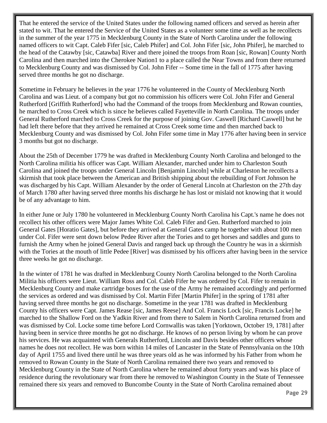That he entered the service of the United States under the following named officers and served as herein after stated to wit. That he entered the Service of the United States as a volunteer some time as well as he recollects in the summer of the year 1775 in Mecklenburg County in the State of North Carolina under the following named officers to wit Capt. Caleb Fifer [sic, Caleb Phifer] and Col. John Fifer [sic, John Phifer], he marched to the head of the Catawby [sic, Catawba] River and there joined the troops from Roan [sic, Rowan] County North Carolina and then marched into the Cherokee Nation1 to a place called the Near Towns and from there returned to Mecklenburg County and was dismissed by Col. John Fifer -- Some time in the fall of 1775 after having served three months he got no discharge.

Sometime in February he believes in the year 1776 he volunteered in the County of Mecklenburg North Carolina and was Lieut. of a company but got no commission his officers were Col. John Fifer and General Rutherford [Griffith Rutherford] who had the Command of the troops from Mecklenburg and Rowan counties, he marched to Cross Creek which is since he believes called Fayetteville in North Carolina. The troops under General Rutherford marched to Cross Creek for the purpose of joining Gov. Caswell [Richard Caswell] but he had left there before that they arrived he remained at Cross Creek some time and then marched back to Mecklenburg County and was dismissed by Col. John Fifer some time in May 1776 after having been in service 3 months but got no discharge.

About the 25th of December 1779 he was drafted in Mecklenburg County North Carolina and belonged to the North Carolina militia his officer was Capt. William Alexander, marched under him to Charleston South Carolina and joined the troops under General Lincoln [Benjamin Lincoln] while at Charleston he recollects a skirmish that took place between the American and British shipping about the rebuilding of Fort Johnson he was discharged by his Capt. William Alexander by the order of General Lincoln at Charleston on the 27th day of March 1780 after having served three months his discharge he has lost or mislaid not knowing that it would be of any advantage to him.

In either June or July 1780 he volunteered in Mecklenburg County North Carolina his Capt.'s name he does not recollect his other officers were Major James White Col. Caleb Fifer and Gen. Rutherford marched to join General Gates [Horatio Gates], but before they arrived at General Gates camp he together with about 100 men under Col. Fifer were sent down below Pedee River after the Tories and to get horses and saddles and guns to furnish the Army when he joined General Davis and ranged back up through the Country he was in a skirmish with the Tories at the mouth of little Pedee [River] was dismissed by his officers after having been in the service three weeks he got no discharge.

In the winter of 1781 he was drafted in Mecklenburg County North Carolina belonged to the North Carolina Militia his officers were Lieut. William Ross and Col. Caleb Fifer he was ordered by Col. Fifer to remain in Mecklenburg County and make cartridge boxes for the use of the Army he remained accordingly and performed the services as ordered and was dismissed by Col. Martin Fifer [Martin Phifer] in the spring of 1781 after having served three months he got no discharge. Sometime in the year 1781 was drafted in Mecklenburg County his officers were Capt. James Rease [sic, James Reese] And Col. Francis Lock [sic, Francis Locke] he marched to the Shallow Ford on the Yadkin River and from there to Salem in North Carolina returned from and was dismissed by Col. Locke some time before Lord Cornwallis was taken [Yorktown, October 19, 1781] after having been in service three months he got no discharge. He knows of no person living by whom he can prove his services. He was acquainted with Generals Rutherford, Lincoln and Davis besides other officers whose names he does not recollect. He was born within 14 miles of Lancaster in the State of Pennsylvania on the 10th day of April 1755 and lived there until he was three years old as he was informed by his Father from whom he removed to Rowan County in the State of North Carolina remained there two years and removed to Mecklenburg County in the State of North Carolina where he remained about forty years and was his place of residence during the revolutionary war from there he removed to Washington County in the State of Tennessee remained there six years and removed to Buncombe County in the State of North Carolina remained about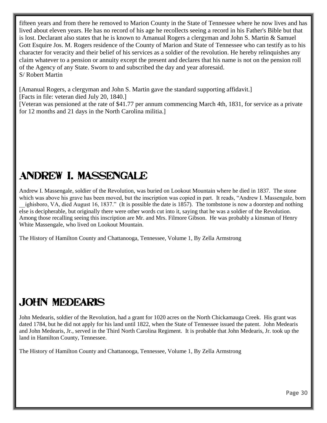fifteen years and from there he removed to Marion County in the State of Tennessee where he now lives and has lived about eleven years. He has no record of his age he recollects seeing a record in his Father's Bible but that is lost. Declarant also states that he is known to Amanual Rogers a clergyman and John S. Martin & Samuel Gott Esquire Jos. M. Rogers residence of the County of Marion and State of Tennessee who can testify as to his character for veracity and their belief of his services as a soldier of the revolution. He hereby relinquishes any claim whatever to a pension or annuity except the present and declares that his name is not on the pension roll of the Agency of any State. Sworn to and subscribed the day and year aforesaid. S/ Robert Martin

[Amanual Rogers, a clergyman and John S. Martin gave the standard supporting affidavit.] [Facts in file: veteran died July 20, 1840.]

[Veteran was pensioned at the rate of \$41.77 per annum commencing March 4th, 1831, for service as a private for 12 months and 21 days in the North Carolina militia.]

# Andrew I. Massengale

Andrew I. Massengale, soldier of the Revolution, was buried on Lookout Mountain where he died in 1837. The stone which was above his grave has been moved, but the inscription was copied in part. It reads, "Andrew I. Massengale, born \_\_ighisboro, VA, died August 16, 1837." (It is possible the date is 1857). The tombstone is now a doorstep and nothing else is decipherable, but originally there were other words cut into it, saying that he was a soldier of the Revolution. Among those recalling seeing this inscription are Mr. and Mrs. Filmore Gibson. He was probably a kinsman of Henry White Massengale, who lived on Lookout Mountain.

The History of Hamilton County and Chattanooga, Tennessee, Volume 1, By Zella Armstrong

### John Medearis

John Medearis, soldier of the Revolution, had a grant for 1020 acres on the North Chickamauga Creek. His grant was dated 1784, but he did not apply for his land until 1822, when the State of Tennessee issued the patent. John Medearis and John Medearis, Jr., served in the Third North Carolina Regiment. It is probable that John Medearis, Jr. took up the land in Hamilton County, Tennessee.

The History of Hamilton County and Chattanooga, Tennessee, Volume 1, By Zella Armstrong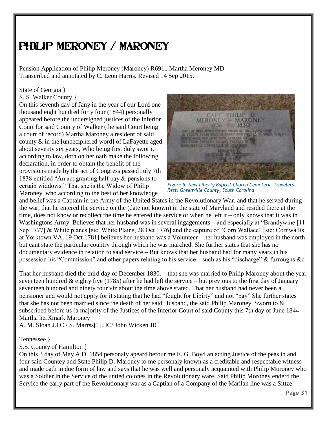### Philip Meroney / Maroney

Pension Application of Philip Meroney (Maroney) R6911 Martha Meroney MD Transcribed and annotated by C. Leon Harris. Revised 14 Sep 2015.

#### State of Georgia }

S. S. Walker County }

On this seventh day of Jany in the year of our Lord one thousand eight hundred forty four (1844) personally appeared before the undersigned justices of the Inferior Court for said County of Walker (the said Court being a court of record) Martha Maroney a resident of said county & in the [undeciphered word] of LaFayette aged about seventy six years, Who being first duly sworn, according to law, doth on her oath make the following declaration, in order to obtain the benefit of the provisions made by the act of Congress passed July 7th 1838 entitled "An act granting half pay & pensions to certain widdows." That she is the Widow of Philip Maroney, who according to the best of her knowledge



*Figure 5: New Liberty Baptist Church Cemetery, Travelers Rest, Greenville County, South Carolina*

and belief was a Captain in the Army of the United States in the Revolutionary War, and that he served during the war, that he entered the service on the (date not known) in the state of Maryland and resided there at the time, does not know or recollect the time he entered the service or when he left it – only knows that it was in Washingtons Army. Believes that her husband was in several ingagements – and especially at "Brandywine [11] Sep 1777] & White planes [sic: White Plains, 28 Oct 1776] and the capture of "Corn Wallace" [sic: Cornwallis at Yorktown VA, 19 Oct 1781] believes her husband was a Volunteer – her husband was employed in the north but cant state the particular country through which he was marched. She further states that she has no documentary evidence in relation to said service – But knows that her husband had for many years in his possession his "Commission" and other papers relating to his service – such as his "discharge" & furroughs &c

That her husband died the third day of December 1830. – that she was married to Philip Maroney about the year seventeen hundred  $\&$  eighty five (1785) after he had left the service – but previous to the first day of January seventeen hundred and ninety four viz about the time above stated. That her husband had never been a pensioner and would not apply for it stating that he had "fought for Libirty" and not "pay" She further states that she has not been married since the death of her said Husband, the said Philip Maroney. Sworn to & subscribed before us (a majority of the Justices of the Inferior Court of said County this 7th day of June 1844 Martha herXmark Maroney

A. M. Sloan J.I.C./ S. Marrss[?] JIC/ John Wicken JIC

#### Tennessee }

S.S. County of Hamilton }

On this 3 day of May A.D. 1854 personaly apeard befour me E. G. Boyd an acting Justice of the peas in and four said Countey and State Philip D. Maroney to me personaly known as a creditable and respectable witness and made oath in due form of law and says that he was well and personaly acquainted with Philip Moroney who was a Soldier in the Service of the untied colones in the Revolutionary ware. Said Philip Moroney enderd the Service the early part of the Revolutionary war as a Captian of a Company of the Marilan line was a Sittze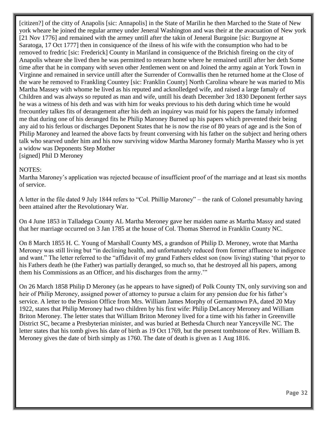[citizen?] of the citty of Anapolis [sic: Annapolis] in the State of Marilin he then Marched to the State of New york wheare he joined the regular armey under Jeneral Washington and was their at the avacuation of New york [21 Nov 1776] and remained with the armey untill after the takin of Jeneral Burgoine [sic: Burgoyne at Saratoga, 17 Oct 1777] then in consiquence of the ilness of his wife with the consumption who had to be removed to fredric [sic: Frederick] County in Mariland in consiquence of the Brichish fireing on the city of Anapolis wheare she lived then he was permitted to retearn home where he remained untill after her deth Some time after that he in company with seven other Jentlemen went on and Joined the army again at York Town in Virginne and remained in service untill after the Surrender of Cornwallis then he returned home at the Close of the ware he removed to Frankling Countey [sic: Franklin County] North Carolina wheare he was maried to Mis Martha Massey with whome he lived as his reputed and acknolledged wife, and raised a large famaly of Children and was always so reputed as man and wife, untill his death December 3rd 1830 Deponent ferther says he was a witness of his deth and was with him for weaks previous to his deth during which time he would frecountley talkes fits of derangement after his deth an inquirey was maid for his papers the famaly informed me that during one of his deranged fits he Philip Maroney Burned up his papers which prevented their being any aid to his ferlous or discharges Deponent States that he is now the rise of 80 years of age and is the Son of Philip Maroney and learned the above facts by freunt conversing with his father on the subject and hering others talk who searved under him and his now surviving widow Martha Maroney formaly Martha Massey who is yet a widow was Deponents Step Mother

[signed] Phil D Meroney

#### NOTES:

Martha Maroney's application was rejected because of insufficient proof of the marriage and at least six months of service.

A letter in the file dated 9 July 1844 refers to "Col. Phillip Maroney" – the rank of Colonel presumably having been attained after the Revolutionary War.

On 4 June 1853 in Talladega County AL Martha Meroney gave her maiden name as Martha Massy and stated that her marriage occurred on 3 Jan 1785 at the house of Col. Thomas Sherrod in Franklin County NC.

On 8 March 1855 H. C. Young of Marshall County MS, a grandson of Philip D. Meroney, wrote that Martha Meroney was still living but "in declining health, and unfortunately reduced from former affluence to indigence and want." The letter referred to the "affidavit of my grand Fathers eldest son (now living) stating 'that pryor to his Fathers death he (the Father) was partially deranged, so much so, that he destroyed all his papers, among them his Commissions as an Officer, and his discharges from the army.'"

On 26 March 1858 Philip D Meroney (as he appears to have signed) of Polk County TN, only surviving son and heir of Philip Meroney, assigned power of attorney to pursue a claim for any pension due for his father's service. A letter to the Pension Office from Mrs. William James Morphy of Germantown PA, dated 20 May 1922, states that Philip Meroney had two children by his first wife: Philip DeLancey Meroney and William Briton Meroney. The letter states that William Briton Meroney lived for a time with his father in Greenville District SC, became a Presbyterian minister, and was buried at Bethesda Church near Yanceyville NC. The letter states that his tomb gives his date of birth as 19 Oct 1769, but the present tombstone of Rev. William B. Meroney gives the date of birth simply as 1760. The date of death is given as 1 Aug 1816.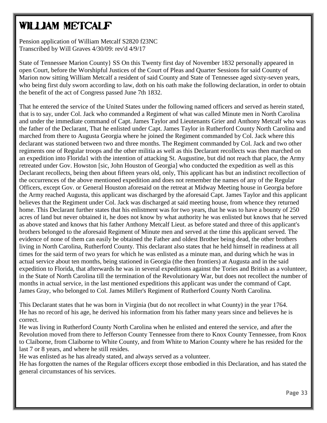# William Metcalf

Pension application of William Metcalf S2820 f23NC Transcribed by Will Graves 4/30/09: rev'd 4/9/17

State of Tennessee Marion County} SS On this Twenty first day of November 1832 personally appeared in open Court, before the Worshipful Justices of the Court of Pleas and Quarter Sessions for said County of Marion now sitting William Metcalf a resident of said County and State of Tennessee aged sixty-seven years, who being first duly sworn according to law, doth on his oath make the following declaration, in order to obtain the benefit of the act of Congress passed June 7th 1832.

That he entered the service of the United States under the following named officers and served as herein stated, that is to say, under Col. Jack who commanded a Regiment of what was called Minute men in North Carolina and under the immediate command of Capt. James Taylor and Lieutenants Grier and Anthony Metcalf who was the father of the Declarant, That he enlisted under Capt. James Taylor in Rutherford County North Carolina and marched from there to Augusta Georgia where he joined the Regiment commanded by Col. Jack where this declarant was stationed between two and three months. The Regiment commanded by Col. Jack and two other regiments one of Regular troops and the other militia as well as this Declarant recollects was then marched on an expedition into Florida1 with the intention of attacking St. Augustine, but did not reach that place, the Army retreated under Gov. Howston [sic, John Houston of Georgia] who conducted the expedition as well as this Declarant recollects, being then about fifteen years old, only, This applicant has but an indistinct recollection of the occurrences of the above mentioned expedition and does not remember the names of any of the Regular Officers, except Gov. or General Houston aforesaid on the retreat at Midway Meeting house in Georgia before the Army reached Augusta, this applicant was discharged by the aforesaid Capt. James Taylor and this applicant believes that the Regiment under Col. Jack was discharged at said meeting house, from whence they returned home. This Declarant further states that his enlistment was for two years, that he was to have a bounty of 250 acres of land but never obtained it, he does not know by what authority he was enlisted but knows that he served as above stated and knows that his father Anthony Metcalf Lieut. as before stated and three of this applicant's brothers belonged to the aforesaid Regiment of Minute men and served at the time this applicant served. The evidence of none of them can easily be obtained the Father and oldest Brother being dead, the other brothers living in North Carolina, Rutherford County. This declarant also states that he held himself in readiness at all times for the said term of two years for which he was enlisted as a minute man, and during which he was in actual service about ten months, being stationed in Georgia (the then frontiers) at Augusta and in the said expedition to Florida, that afterwards he was in several expeditions against the Tories and British as a volunteer, in the State of North Carolina till the termination of the Revolutionary War, but does not recollect the number of months in actual service, in the last mentioned expeditions this applicant was under the command of Capt. James Gray, who belonged to Col. James Miller's Regiment of Rutherford County North Carolina.

This Declarant states that he was born in Virginia (but do not recollect in what County) in the year 1764. He has no record of his age, he derived his information from his father many years since and believes he is correct.

He was living in Rutherford County North Carolina when he enlisted and entered the service, and after the Revolution moved from there to Jefferson County Tennessee from there to Knox County Tennessee, from Knox to Claiborne, from Claiborne to White County, and from White to Marion County where he has resided for the last 7 or 8 years, and where he still resides.

He was enlisted as he has already stated, and always served as a volunteer.

He has forgotten the names of the Regular officers except those embodied in this Declaration, and has stated the general circumstances of his services.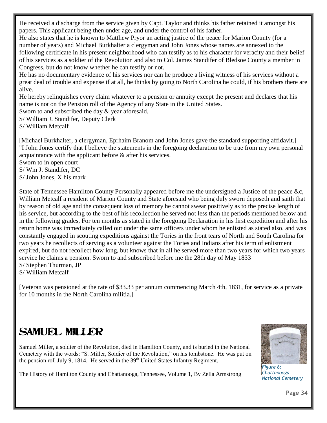He received a discharge from the service given by Capt. Taylor and thinks his father retained it amongst his papers. This applicant being then under age, and under the control of his father.

He also states that he is known to Matthew Pryor an acting justice of the peace for Marion County (for a number of years) and Michael Burkhalter a clergyman and John Jones whose names are annexed to the following certificate in his present neighborhood who can testify as to his character for veracity and their belief of his services as a soldier of the Revolution and also to Col. James Standifer of Bledsoe County a member in Congress, but do not know whether he can testify or not.

He has no documentary evidence of his services nor can he produce a living witness of his services without a great deal of trouble and expense if at all, he thinks by going to North Carolina he could, if his brothers there are alive.

He hereby relinquishes every claim whatever to a pension or annuity except the present and declares that his name is not on the Pension roll of the Agency of any State in the United States.

Sworn to and subscribed the day & year aforesaid.

S/ William J. Standifer, Deputy Clerk

S/ William Metcalf

[Michael Burkhalter, a clergyman, Eprhaim Branom and John Jones gave the standard supporting affidavit.] "I John Jones certify that I believe the statements in the foregoing declaration to be true from my own personal acquaintance with the applicant before & after his services.

Sworn to in open court

S/ Wm J. Standifer, DC

S/ John Jones, X his mark

State of Tennessee Hamilton County Personally appeared before me the undersigned a Justice of the peace &c, William Metcalf a resident of Marion County and State aforesaid who being duly sworn deposeth and saith that by reason of old age and the consequent loss of memory he cannot swear positively as to the precise length of his service, but according to the best of his recollection he served not less than the periods mentioned below and in the following grades, For ten months as stated in the foregoing Declaration in his first expedition and after his return home was immediately called out under the same officers under whom he enlisted as stated also, and was constantly engaged in scouting expeditions against the Tories in the front tears of North and South Carolina for two years he recollects of serving as a volunteer against the Tories and Indians after his term of enlistment expired, but do not recollect how long, but knows that in all he served more than two years for which two years service he claims a pension. Sworn to and subscribed before me the 28th day of May 1833 S/ Stephen Thurman, JP

S/ William Metcalf

[Veteran was pensioned at the rate of \$33.33 per annum commencing March 4th, 1831, for service as a private for 10 months in the North Carolina militia.]

### Samuel Miller

Samuel Miller, a soldier of the Revolution, died in Hamilton County, and is buried in the National Cemetery with the words: "S. Miller, Soldier of the Revolution," on his tombstone. He was put on the pension roll July 9, 1814. He served in the 39<sup>th</sup> United States Infantry Regiment.

The History of Hamilton County and Chattanooga, Tennessee, Volume 1, By Zella Armstrong



*Figure 6: Chattanooga National Cemetery*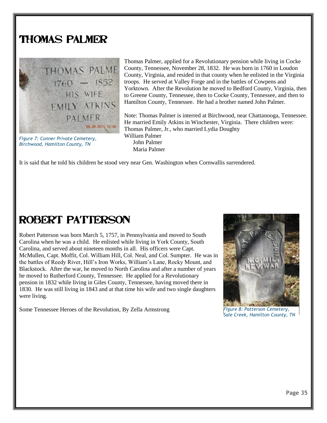### Thomas Palmer



*Figure 7: Conner Private Cemetery, Birchwood, Hamilton County, TN*

Thomas Palmer, applied for a Revolutionary pension while living in Cocke County, Tennessee, November 28, 1832. He was born in 1760 in Loudon County, Virginia, and resided in that county when he enlisted in the Virginia troops. He served at Valley Forge and in the battles of Cowpens and Yorktown. After the Revolution he moved to Bedford County, Virginia, then to Greene County, Tennessee, then to Cocke County, Tennessee, and then to Hamilton County, Tennessee. He had a brother named John Palmer.

Note: Thomas Palmer is interred at Birchwood, near Chattanooga, Tennessee. He married Emily Atkins in Winchester, Virginia. There children were: Thomas Palmer, Jr., who married Lydia Doughty William Palmer John Palmer Maria Palmer

It is said that he told his children he stood very near Gen. Washington when Cornwallis surrendered.

### Robert Patterson

Robert Patterson was born March 5, 1757, in Pennsylvania and moved to South Carolina when he was a child. He enlisted while living in York County, South Carolina, and served about nineteen months in all. His officers were Capt. McMullen, Capt. Moffit, Col. William Hill, Col. Neal, and Col. Sumpter. He was in the battles of Reedy River, Hill's Iron Works, William's Lane, Rocky Mount, and Blackstock. After the war, he moved to North Carolina and after a number of years he moved to Rutherford County, Tennessee. He applied for a Revolutionary pension in 1832 while living in Giles County, Tennessee, having moved there in 1830. He was still living in 1843 and at that time his wife and two single daughters were living.

Some Tennessee Heroes of the Revolution, By Zella Armstrong



*Figure 8: Patterson Cemetery, Sale Creek, Hamilton County, TN*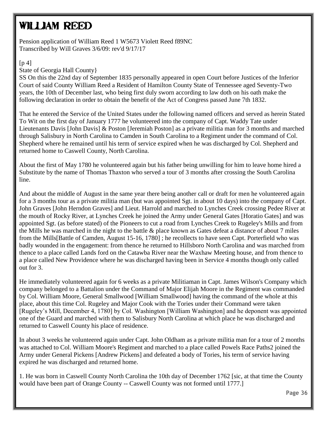# William Reed

Pension application of William Reed 1 W5673 Violett Reed f89NC Transcribed by Will Graves 3/6/09: rev'd 9/17/17

#### $[p 4]$

State of Georgia Hall County}

SS On this the 22nd day of September 1835 personally appeared in open Court before Justices of the Inferior Court of said County William Reed a Resident of Hamilton County State of Tennessee aged Seventy-Two years, the 10th of December last, who being first duly sworn according to law doth on his oath make the following declaration in order to obtain the benefit of the Act of Congress passed June 7th 1832.

That he entered the Service of the United States under the following named officers and served as herein Stated To Wit on the first day of January 1777 he volunteered into the company of Capt. Waddy Tate under Lieutenants Davis [John Davis] & Poston [Jeremiah Poston] as a private militia man for 3 months and marched through Salisbury in North Carolina to Camden in South Carolina to a Regiment under the command of Col. Shepherd where he remained until his term of service expired when he was discharged by Col. Shepherd and returned home to Caswell County, North Carolina.

About the first of May 1780 he volunteered again but his father being unwilling for him to leave home hired a Substitute by the name of Thomas Thaxton who served a tour of 3 months after crossing the South Carolina line.

And about the middle of August in the same year there being another call or draft for men he volunteered again for a 3 months tour as a private militia man (but was appointed Sgt. in about 10 days) into the company of Capt. John Graves [John Herndon Graves] and Lieut. Harrold and marched to Lynches Creek crossing Pedee River at the mouth of Rocky River, at Lynches Creek he joined the Army under General Gates [Horatio Gates] and was appointed Sgt. (as before stated) of the Pioneers to cut a road from Lynches Creek to Rugeley's Mills and from the Mills he was marched in the night to the battle & place known as Gates defeat a distance of about 7 miles from the Mills[Battle of Camden, August 15-16, 1780] ; he recollects to have seen Capt. Porterfield who was badly wounded in the engagement: from thence he returned to Hillsboro North Carolina and was marched from thence to a place called Lands ford on the Catawba River near the Waxhaw Meeting house, and from thence to a place called New Providence where he was discharged having been in Service 4 months though only called out for 3.

He immediately volunteered again for 6 weeks as a private Militiaman in Capt. James Wilson's Company which company belonged to a Battalion under the Command of Major Elijah Moore in the Regiment was commanded by Col. William Moore, General Smallwood [William Smallwood] having the command of the whole at this place, about this time Col. Rugeley and Major Cook with the Tories under their Command were taken [Rugeley's Mill, December 4, 1780] by Col. Washington [William Washington] and he deponent was appointed one of the Guard and marched with them to Salisbury North Carolina at which place he was discharged and returned to Caswell County his place of residence.

In about 3 weeks he volunteered again under Capt. John Oldham as a private militia man for a tour of 2 months was attached to Col. William Moore's Regiment and marched to a place called Powels Race Paths2 joined the Army under General Pickens [Andrew Pickens] and defeated a body of Tories, his term of service having expired he was discharged and returned home.

1. He was born in Caswell County North Carolina the 10th day of December 1762 [sic, at that time the County would have been part of Orange County -- Caswell County was not formed until 1777.]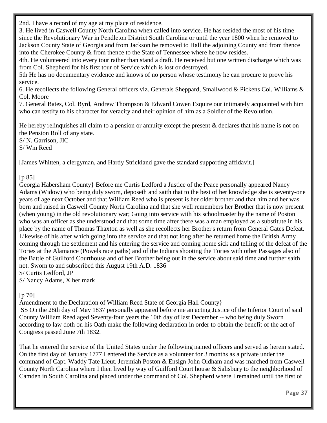2nd. I have a record of my age at my place of residence.

3. He lived in Caswell County North Carolina when called into service. He has resided the most of his time since the Revolutionary War in Pendleton District South Carolina or until the year 1800 when he removed to Jackson County State of Georgia and from Jackson he removed to Hall the adjoining County and from thence into the Cherokee County & from thence to the State of Tennessee where he now resides.

4th. He volunteered into every tour rather than stand a draft. He received but one written discharge which was from Col. Shepherd for his first tour of Service which is lost or destroyed.

5th He has no documentary evidence and knows of no person whose testimony he can procure to prove his service.

6. He recollects the following General officers viz. Generals Sheppard, Smallwood & Pickens Col. Williams & Col. Moore

7. General Bates, Col. Byrd, Andrew Thompson & Edward Cowen Esquire our intimately acquainted with him who can testify to his character for veracity and their opinion of him as a Soldier of the Revolution.

He hereby relinquishes all claim to a pension or annuity except the present & declares that his name is not on the Pension Roll of any state.

S/ N. Garrison, JIC S/ Wm Reed

[James Whitten, a clergyman, and Hardy Strickland gave the standard supporting affidavit.]

#### [p 85]

Georgia Habersham County} Before me Curtis Ledford a Justice of the Peace personally appeared Nancy Adams (Widow) who being duly sworn, deposeth and saith that to the best of her knowledge she is seventy-one years of age next October and that William Reed who is present is her older brother and that him and her was born and raised in Caswell County North Carolina and that she well remembers her Brother that is now present (when young) in the old revolutionary war; Going into service with his schoolmaster by the name of Poston who was an officer as she understood and that some time after there was a man employed as a substitute in his place by the name of Thomas Thaxton as well as she recollects her Brother's return from General Gates Defeat. Likewise of his after which going into the service and that not long after he returned home the British Army coming through the settlement and his entering the service and coming home sick and telling of the defeat of the Tories at the Alamance (Powels race paths) and of the Indians shooting the Tories with other Passages also of the Battle of Guilford Courthouse and of her Brother being out in the service about said time and further saith not. Sworn to and subscribed this August 19th A.D. 1836 S/ Curtis Ledford, JP

S/ Nancy Adams, X her mark

#### [p 70]

Amendment to the Declaration of William Reed State of Georgia Hall County}

SS On the 28th day of May 1837 personally appeared before me an acting Justice of the Inferior Court of said County William Reed aged Seventy-four years the 10th day of last December -- who being duly Sworn according to law doth on his Oath make the following declaration in order to obtain the benefit of the act of Congress passed June 7th 1832.

That he entered the service of the United States under the following named officers and served as herein stated. On the first day of January 1777 I entered the Service as a volunteer for 3 months as a private under the command of Capt. Waddy Tate Lieut. Jeremiah Poston & Ensign John Oldham and was marched from Caswell County North Carolina where I then lived by way of Guilford Court house & Salisbury to the neighborhood of Camden in South Carolina and placed under the command of Col. Shepherd where I remained until the first of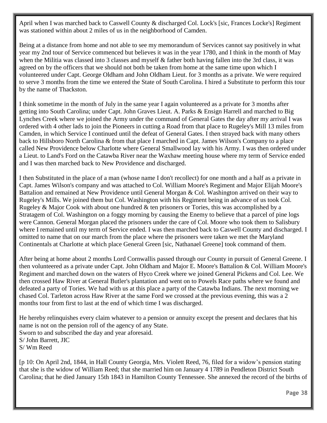April when I was marched back to Caswell County & discharged Col. Lock's [sic, Frances Locke's] Regiment was stationed within about 2 miles of us in the neighborhood of Camden.

Being at a distance from home and not able to see my memorandum of Services cannot say positively in what year my 2nd tour of Service commenced but believes it was in the year 1780, and I think in the month of May when the Militia was classed into 3 classes and myself & father both having fallen into the 3rd class, it was agreed on by the officers that we should not both be taken from home at the same time upon which I volunteered under Capt. George Oldham and John Oldham Lieut. for 3 months as a private. We were required to serve 3 months from the time we entered the State of South Carolina. I hired a Substitute to perform this tour by the name of Thackston.

I think sometime in the month of July in the same year I again volunteered as a private for 3 months after getting into South Carolina; under Capt. John Graves Lieut. A. Parks & Ensign Harrell and marched to Big Lynches Creek where we joined the Army under the command of General Gates the day after my arrival I was ordered with 4 other lads to join the Pioneers in cutting a Road from that place to Rugeley's Mill 13 miles from Camden, in which Service I continued until the defeat of General Gates. I then strayed back with many others back to Hillsboro North Carolina & from that place I marched in Capt. James Wilson's Company to a place called New Providence below Charlotte where General Smallwood lay with his Army. I was then ordered under a Lieut. to Land's Ford on the Catawba River near the Waxhaw meeting house where my term of Service ended and I was then marched back to New Providence and discharged.

I then Substituted in the place of a man (whose name I don't recollect) for one month and a half as a private in Capt. James Wilson's company and was attached to Col. William Moore's Regiment and Major Elijah Moore's Battalion and remained at New Providence until General Morgan & Col. Washington arrived on their way to Rugeley's Mills. We joined them but Col. Washington with his Regiment being in advance of us took Col. Rugeley & Major Cook with about one hundred  $\&$  ten prisoners or Tories, this was accomplished by a Stratagem of Col. Washington on a foggy morning by causing the Enemy to believe that a parcel of pine logs were Cannon. General Morgan placed the prisoners under the care of Col. Moore who took them to Salisbury where I remained until my term of Service ended. I was then marched back to Caswell County and discharged. I omitted to name that on our march from the place where the prisoners were taken we met the Maryland Continentals at Charlotte at which place General Green [sic, Nathanael Greene] took command of them.

After being at home about 2 months Lord Cornwallis passed through our County in pursuit of General Greene. I then volunteered as a private under Capt. John Oldham and Major E. Moore's Battalion & Col. William Moore's Regiment and marched down on the waters of Hyco Creek where we joined General Pickens and Col. Lee. We then crossed Haw River at General Butler's plantation and went on to Powels Race paths where we found and defeated a party of Tories. We had with us at this place a party of the Catawba Indians. The next morning we chased Col. Tarleton across Haw River at the same Ford we crossed at the previous evening, this was a 2 months tour from first to last at the end of which time I was discharged.

He hereby relinquishes every claim whatever to a pension or annuity except the present and declares that his name is not on the pension roll of the agency of any State. Sworn to and subscribed the day and year aforesaid. S/ John Barrett, JIC S/ Wm Reed

[p 10: On April 2nd, 1844, in Hall County Georgia, Mrs. Violett Reed, 76, filed for a widow's pension stating that she is the widow of William Reed; that she married him on January 4 1789 in Pendleton District South Carolina; that he died January 15th 1843 in Hamilton County Tennessee. She annexed the record of the births of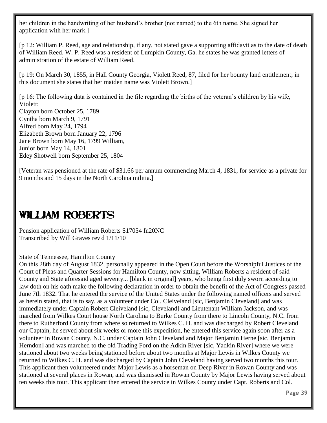her children in the handwriting of her husband's brother (not named) to the 6th name. She signed her application with her mark.]

[p 12: William P. Reed, age and relationship, if any, not stated gave a supporting affidavit as to the date of death of William Reed. W. P. Reed was a resident of Lumpkin County, Ga. he states he was granted letters of administration of the estate of William Reed.

[p 19: On March 30, 1855, in Hall County Georgia, Violett Reed, 87, filed for her bounty land entitlement; in this document she states that her maiden name was Violett Brown.]

[p 16: The following data is contained in the file regarding the births of the veteran's children by his wife, Violett: Clayton born October 25, 1789 Cyntha born March 9, 1791 Alfred born May 24, 1794 Elizabeth Brown born January 22, 1796 Jane Brown born May 16, 1799 William, Junior born May 14, 1801 Edey Shotwell born September 25, 1804

[Veteran was pensioned at the rate of \$31.66 per annum commencing March 4, 1831, for service as a private for 9 months and 15 days in the North Carolina militia.]

### WILLIAM ROBERTS

Pension application of William Roberts S17054 fn20NC Transcribed by Will Graves rev'd 1/11/10

State of Tennessee, Hamilton County

On this 28th day of August 1832, personally appeared in the Open Court before the Worshipful Justices of the Court of Pleas and Quarter Sessions for Hamilton County, now sitting, William Roberts a resident of said County and State aforesaid aged seventy... [blank in original] years, who being first duly sworn according to law doth on his oath make the following declaration in order to obtain the benefit of the Act of Congress passed June 7th 1832. That he entered the service of the United States under the following named officers and served as herein stated, that is to say, as a volunteer under Col. Cleiveland [sic, Benjamin Cleveland] and was immediately under Captain Robert Cleiveland [sic, Cleveland] and Lieutenant William Jackson, and was marched from Wilkes Court house North Carolina to Burke County from there to Lincoln County, N.C. from there to Rutherford County from where so returned to Wilkes C. H. and was discharged by Robert Cleveland our Captain, he served about six weeks or more this expedition, he entered this service again soon after as a volunteer in Rowan County, N.C. under Captain John Cleveland and Major Benjamin Herne [sic, Benjamin Herndon] and was marched to the old Trading Ford on the Adkin River [sic, Yadkin River] where we were stationed about two weeks being stationed before about two months at Major Lewis in Wilkes County we returned to Wilkes C. H. and was discharged by Captain John Cleveland having served two months this tour. This applicant then volunteered under Major Lewis as a horseman on Deep River in Rowan County and was stationed at several places in Rowan, and was dismissed in Rowan County by Major Lewis having served about ten weeks this tour. This applicant then entered the service in Wilkes County under Capt. Roberts and Col.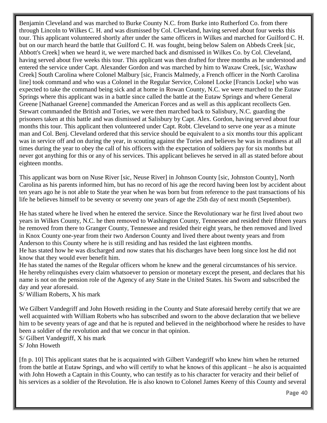Benjamin Cleveland and was marched to Burke County N.C. from Burke into Rutherford Co. from there through Lincoln to Wilkes C. H. and was dismissed by Col. Cleveland, having served about four weeks this tour. This applicant volunteered shortly after under the same officers in Wilkes and marched for Guilford C. H. but on our march heard the battle that Guilford C. H. was fought, being below Salem on Abbeds Creek [sic, Abbott's Creek] when we heard it, we were marched back and dismissed in Wilkes Co. by Col. Cleveland, having served about five weeks this tour. This applicant was then drafted for three months as he understood and entered the service under Capt. Alexander Gordon and was marched by him to Waxaw Creek, [sic, Waxhaw Creek] South Carolina where Colonel Malbury [sic, Francis Malmedy, a French officer in the North Carolina line] took command and who was a Colonel in the Regular Service, Colonel Locke [Francis Locke] who was expected to take the command being sick and at home in Rowan County, N.C. we were marched to the Eutaw Springs where this applicant was in a battle since called the battle at the Eutaw Springs and where General Greene [Nathanael Greene] commanded the American Forces and as well as this applicant recollects Gen. Stewart commanded the British and Tories, we were then marched back to Salisbury, N.C. guarding the prisoners taken at this battle and was dismissed at Salisbury by Capt. Alex. Gordon, having served about four months this tour. This applicant then volunteered under Capt. Robt. Cleveland to serve one year as a minute man and Col. Benj. Cleveland ordered that this service should be equivalent to a six months tour this applicant was in service off and on during the year, in scouting against the Tories and believes he was in readiness at all times during the year to obey the call of his officers with the expectation of soldiers pay for six months but never got anything for this or any of his services. This applicant believes he served in all as stated before about eighteen months.

This applicant was born on Nuse River [sic, Neuse River] in Johnson County [sic, Johnston County], North Carolina as his parents informed him, but has no record of his age the record having been lost by accident about ten years ago he is not able to State the year when he was born but from reference to the past transactions of his life he believes himself to be seventy or seventy one years of age the 25th day of next month (September).

He has stated where he lived when he entered the service. Since the Revolutionary war he first lived about two years in Wilkes County, N.C. he then removed to Washington County, Tennessee and resided their fifteen years he removed from there to Granger County, Tennessee and resided their eight years, he then removed and lived in Knox County one-year from their two Anderson County and lived there about twenty years and from Anderson to this County where he is still residing and has resided the last eighteen months.

He has stated how he was discharged and now states that his discharges have been long since lost he did not know that they would ever benefit him.

He has stated the names of the Regular officers whom he knew and the general circumstances of his service. He hereby relinquishes every claim whatsoever to pension or monetary except the present, and declares that his name is not on the pension role of the Agency of any State in the United States. his Sworn and subscribed the day and year aforesaid.

S/ William Roberts, X his mark

We Gilbert Vandegriff and John Howeth residing in the County and State aforesaid hereby certify that we are well acquainted with William Roberts who has subscribed and sworn to the above declaration that we believe him to be seventy years of age and that he is reputed and believed in the neighborhood where he resides to have been a soldier of the revolution and that we concur in that opinion.

S/ Gilbert Vandegriff, X his mark

S/ John Howeth

[fn p. 10] This applicant states that he is acquainted with Gilbert Vandegriff who knew him when he returned from the battle at Eutaw Springs, and who will certify to what he knows of this applicant – he also is acquainted with John Howeth a Captain in this County, who can testify as to his character for veracity and their belief of his services as a soldier of the Revolution. He is also known to Colonel James Keeny of this County and several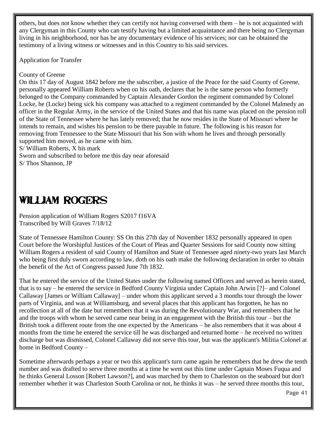others, but does not know whether they can certify not having conversed with them – he is not acquainted with any Clergyman in this County who can testify having but a limited acquaintance and there being no Clergyman living in his neighborhood, nor has he any documentary evidence of his services; nor can he obtained the testimony of a living witness or witnesses and in this Country to his said services.

Application for Transfer

#### County of Greene

On this 17 day of August 1842 before me the subscriber, a justice of the Peace for the said County of Greene, personally appeared William Roberts when on his oath, declares that he is the same person who formerly belonged to the Company commanded by Captain Alexander Gordon the regiment commanded by Colonel Locke, he (Locke) being sick his company was attached to a regiment commanded by the Colonel Malmedy an officer in the Regular Army, in the service of the United States and that his name was placed on the pension roll of the State of Tennessee where he has lately removed; that he now resides in the State of Missouri where he intends to remain, and wishes his pension to be there payable in future. The following is his reason for removing from Tennessee to the State Missouri that his Son with whom he lives and through personally supported him moved, as he came with him.

S/ William Roberts, X his mark

Sworn and subscribed to before me this day near aforesaid

S/ Thos Shannon, JP

### WILLIAM ROGERS

Pension application of William Rogers S2017 f16VA Transcribed by Will Graves 7/18/12

State of Tennessee Hamilton County: SS On this 27th day of November 1832 personally appeared in open Court before the Worshipful Justices of the Court of Pleas and Quarter Sessions for said County now sitting William Rogers a resident of said County of Hamilton and State of Tennessee aged ninety-two years last March who being first duly sworn according to law, doth on his oath make the following declaration in order to obtain the benefit of the Act of Congress passed June 7th 1832.

That he entered the service of the United States under the following named Officers and served as herein stated, that is to say – he entered the service in Bedford County Virginia under Captain John Arwin [?]– and Colonel Callaway [James or William Callaway] – under whom this applicant served a 3 months tour through the lower parts of Virginia, and was at Williamsburg, and several places that this applicant has forgotten, he has no recollection at all of the date but remembers that it was during the Revolutionary War, and remembers that he and the troops with whom he served came near being in an engagement with the British this tour – but the British took a different route from the one expected by the Americans – he also remembers that it was about 4 months from the time he entered the service till he was discharged and returned home – he received no written discharge but was dismissed, Colonel Callaway did not serve this tour, but was the applicant's Militia Colonel at home in Bedford County –

Sometime afterwards perhaps a year or two this applicant's turn came again he remembers that he drew the tenth number and was drafted to serve three months at a time he went out this time under Captain Moses Fuqua and he thinks General Losson [Robert Lawson?], and was marched by them to Charleston on the seaboard but don't remember whether it was Charleston South Carolina or not, he thinks it was – he served three months this tour,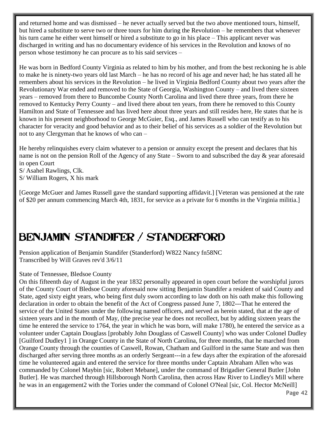and returned home and was dismissed – he never actually served but the two above mentioned tours, himself, but hired a substitute to serve two or three tours for him during the Revolution – he remembers that whenever his turn came he either went himself or hired a substitute to go in his place – This applicant never was discharged in writing and has no documentary evidence of his services in the Revolution and knows of no person whose testimony he can procure as to his said services –

He was born in Bedford County Virginia as related to him by his mother, and from the best reckoning he is able to make he is ninety-two years old last March – he has no record of his age and never had; he has stated all he remembers about his services in the Revolution – he lived in Virginia Bedford County about two years after the Revolutionary War ended and removed to the State of Georgia, Washington County – and lived there sixteen years – removed from there to Buncombe County North Carolina and lived there three years, from there he removed to Kentucky Perry County – and lived there about ten years, from there he removed to this County Hamilton and State of Tennessee and has lived here about three years and still resides here, He states that he is known in his present neighborhood to George McGuier, Esq., and James Russell who can testify as to his character for veracity and good behavior and as to their belief of his services as a soldier of the Revolution but not to any Clergyman that he knows of who can –

He hereby relinquishes every claim whatever to a pension or annuity except the present and declares that his name is not on the pension Roll of the Agency of any State – Sworn to and subscribed the day & year aforesaid in open Court

- S/ Asahel Rawlings, Clk.
- S/ William Rogers, X his mark

[George McGuer and James Russell gave the standard supporting affidavit.] [Veteran was pensioned at the rate of \$20 per annum commencing March 4th, 1831, for service as a private for 6 months in the Virginia militia.]

### Benjamin Standifer / Standerford

Pension application of Benjamin Standifer (Standerford) W822 Nancy fn58NC Transcribed by Will Graves rev'd 3/6/11

#### State of Tennessee, Bledsoe County

On this fifteenth day of August in the year 1832 personally appeared in open court before the worshipful jurors of the County Court of Bledsoe County aforesaid now sitting Benjamin Standifer a resident of said County and State, aged sixty eight years, who being first duly sworn according to law doth on his oath make this following declaration in order to obtain the benefit of the Act of Congress passed June 7, 1802---That he entered the service of the United States under the following named officers, and served as herein stated, that at the age of sixteen years and in the month of May, (the precise year he does not recollect, but by adding sixteen years the time he entered the service to 1764, the year in which he was born, will make 1780), he entered the service as a volunteer under Captain Douglass [probably John Douglass of Caswell County] who was under Colonel Dudley [Guilford Dudley1 ] in Orange County in the State of North Carolina, for three months, that he marched from Orange County through the counties of Caswell, Rowan, Chatham and Guilford in the same State and was then discharged after serving three months as an orderly Sergeant---in a few days after the expiration of the aforesaid time he volunteered again and entered the service for three months under Captain Abraham Allen who was commanded by Colonel Maybin [sic, Robert Mebane], under the command of Brigadier General Butler [John Butler]. He was marched through Hillsborough North Carolina, then across Haw River to Lindley's Mill where he was in an engagement2 with the Tories under the command of Colonel O'Neal [sic, Col. Hector McNeill]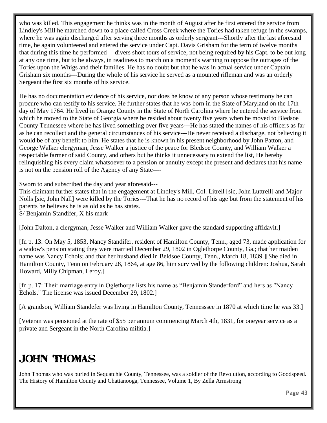who was killed. This engagement he thinks was in the month of August after he first entered the service from Lindley's Mill he marched down to a place called Cross Creek where the Tories had taken refuge in the swamps, where he was again discharged after serving three months as orderly sergeant---Shortly after the last aforesaid time, he again volunteered and entered the service under Capt. Davis Grisham for the term of twelve months that during this time he performed— divers short tours of service, not being required by his Capt. to be out long at any one time, but to be always, in readiness to march on a moment's warning to oppose the outrages of the Tories upon the Whigs and their families. He has no doubt but that he was in actual service under Captain Grisham six months---During the whole of his service he served as a mounted rifleman and was an orderly Sergeant the first six months of his service.

He has no documentation evidence of his service, nor does he know of any person whose testimony he can procure who can testify to his service. He further states that he was born in the State of Maryland on the 17th day of May 1764. He lived in Orange County in the State of North Carolina where he entered the service from which he moved to the State of Georgia where he resided about twenty five years when he moved to Bledsoe County Tennessee where he has lived something over five years---He has stated the names of his officers as far as he can recollect and the general circumstances of his service---He never received a discharge, not believing it would be of any benefit to him. He states that he is known in his present neighborhood by John Patton, and George Walker clergyman, Jesse Walker a justice of the peace for Bledsoe County, and William Walker a respectable farmer of said County, and others but he thinks it unnecessary to extend the list, He hereby relinquishing his every claim whatsoever to a pension or annuity except the present and declares that his name is not on the pension roll of the Agency of any State----

Sworn to and subscribed the day and year aforesaid---

This claimant further states that in the engagement at Lindley's Mill, Col. Litrell [sic, John Luttrell] and Major Nolls [sic, John Nall] were killed by the Tories---That he has no record of his age but from the statement of his parents he believes he is as old as he has states. S/ Benjamin Standifer, X his mark

[John Dalton, a clergyman, Jesse Walker and William Walker gave the standard supporting affidavit.]

[fn p. 13: On May 5, 1853, Nancy Standifer, resident of Hamilton County, Tenn., aged 73, made application for a widow's pension stating they were married December 29, 1802 in Oglethorpe County, Ga.; that her maiden name was Nancy Echols; and that her husband died in Beldsoe County, Tenn., March 18, 1839.][She died in Hamilton County, Tenn on February 28, 1864, at age 86, him survived by the following children: Joshua, Sarah Howard, Milly Chipman, Leroy.]

[fn p. 17: Their marriage entry in Oglethorpe lists his name as "Benjamin Standerford" and hers as "Nancy Echols." The license was issued December 29, 1802.]

[A grandson, William Standefer was living in Hamilton County, Tennesssee in 1870 at which time he was 33.]

[Veteran was pensioned at the rate of \$55 per annum commencing March 4th, 1831, for oneyear service as a private and Sergeant in the North Carolina militia.]

# John Thomas

John Thomas who was buried in Sequatchie County, Tennessee, was a soldier of the Revolution, according to Goodspeed. The History of Hamilton County and Chattanooga, Tennessee, Volume 1, By Zella Armstrong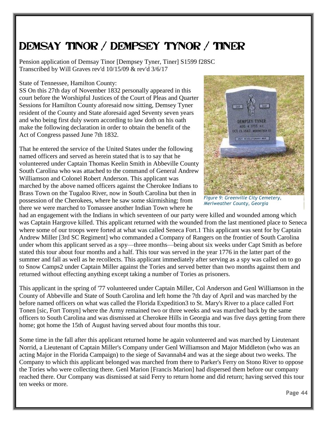# Demsay Tinor / Dempsey Tynor / Tiner

Pension application of Demsay Tinor [Dempsey Tyner, Tiner] S1599 f28SC Transcribed by Will Graves rev'd 10/15/09 & rev'd 3/6/17

State of Tennessee, Hamilton County:

SS On this 27th day of November 1832 personally appeared in this court before the Worshipful Justices of the Court of Pleas and Quarter Sessions for Hamilton County aforesaid now sitting, Demsey Tyner resident of the County and State aforesaid aged Seventy seven years and who being first duly sworn according to law doth on his oath make the following declaration in order to obtain the benefit of the Act of Congress passed June 7th 1832.

That he entered the service of the United States under the following named officers and served as herein stated that is to say that he volunteered under Captain Thomas Keelin Smith in Abbeville County South Carolina who was attached to the command of General Andrew Williamson and Colonel Robert Anderson. This applicant was marched by the above named officers against the Cherokee Indians to Brass Town on the Tugaloo River, now in South Carolina but then in possession of the Cherokees, where he saw some skirmishing; from there we were marched to Tomassee another Indian Town where he



*Figure 9: Greenville City Cemetery, Meriweather County, Georgia*

had an engagement with the Indians in which seventeen of our party were killed and wounded among which was Captain Hargrove killed. This applicant returned with the wounded from the last mentioned place to Seneca where some of our troops were forted at what was called Seneca Fort.1 This applicant was sent for by Captain Andrew Miller [3rd SC Regiment] who commanded a Company of Rangers on the frontier of South Carolina under whom this applicant served as a spy—three months—being about six weeks under Capt Smith as before stated this tour about four months and a half. This tour was served in the year 1776 in the latter part of the summer and fall as well as he recollects. This applicant immediately after serving as a spy was called on to go to Snow Camps2 under Captain Miller against the Tories and served better than two months against them and returned without effecting anything except taking a number of Tories as prisoners.

This applicant in the spring of '77 volunteered under Captain Miller, Col Anderson and Genl Williamson in the County of Abbeville and State of South Carolina and left home the 7th day of April and was marched by the before named officers on what was called the Florida Expedition3 to St. Mary's River to a place called Fort Tonen [sic, Fort Tonyn] where the Army remained two or three weeks and was marched back by the same officers to South Carolina and was dismissed at Cherokee Hills in Georgia and was five days getting from there home; got home the 15th of August having served about four months this tour.

Some time in the fall after this applicant returned home he again volunteered and was marched by Lieutenant Norrid, a Lieutenant of Captain Miller's Company under Genl Williamson and Major Middleton (who was an acting Major in the Florida Campaign) to the siege of Savannah4 and was at the siege about two weeks. The Company to which this applicant belonged was marched from there to Parker's Ferry on Stono River to oppose the Tories who were collecting there. Genl Marion [Francis Marion] had dispersed them before our company reached there. Our Company was dismissed at said Ferry to return home and did return; having served this tour ten weeks or more.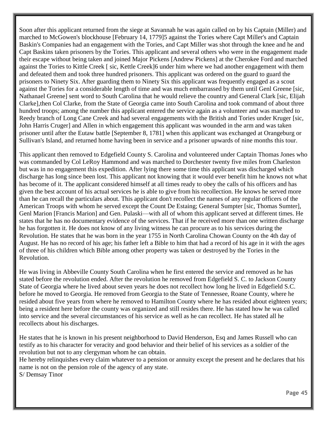Soon after this applicant returned from the siege at Savannah he was again called on by his Captain (Miller) and marched to McGowen's blockhouse [February 14, 1779]5 against the Tories where Capt Miller's and Captain Baskin's Companies had an engagement with the Tories, and Capt Miller was shot through the knee and he and Capt Baskins taken prisoners by the Tories. This applicant and several others who were in the engagement made their escape without being taken and joined Major Pickens [Andrew Pickens] at the Cherokee Ford and marched against the Tories to Kittle Creek [ sic, Kettle Creek]6 under him where we had another engagement with them and defeated them and took three hundred prisoners. This applicant was ordered on the guard to guard the prisoners to Ninety Six. After guarding them to Ninety Six this applicant was frequently engaged as a scout against the Tories for a considerable length of time and was much embarrassed by them until Genl Greene [sic, Nathanael Greene] sent word to South Carolina that he would relieve the country and General Clark [sic, Elijah Clarke],then Col Clarke, from the State of Georgia came into South Carolina and took command of about three hundred troops; among the number this applicant entered the service again as a volunteer and was marched to Reedy branch of Long Cane Creek and had several engagements with the British and Tories under Kruger [sic, John Harris Cruger] and Allen in which engagement this applicant was wounded in the arm and was taken prisoner until after the Eutaw battle [September 8, 1781] when this applicant was exchanged at Orangeburg or Sullivan's Island, and returned home having been in service and a prisoner upwards of nine months this tour.

This applicant then removed to Edgefield County S. Carolina and volunteered under Captain Thomas Jones who was commanded by Col LeRoy Hammond and was marched to Dorchester twenty five miles from Charleston but was in no engagement this expedition. After lying there some time this applicant was discharged which discharge has long since been lost. This applicant not knowing that it would ever benefit him he knows not what has become of it. The applicant considered himself at all times ready to obey the calls of his officers and has given the best account of his actual services he is able to give from his recollection. He knows he served more than he can recall the particulars about. This applicant don't recollect the names of any regular officers of the American Troops with whom he served except the Count De Estaing; General Sumpter [sic, Thomas Sumter], Genl Marion [Francis Marion] and Gen. Pulaski—with all of whom this applicant served at different times. He states that he has no documentary evidence of the services. That if he received more than one written discharge he has forgotten it. He does not know of any living witness he can procure as to his services during the Revolution. He states that he was born in the year 1755 in North Carolina Chowan County on the 4th day of August. He has no record of his age; his father left a Bible to him that had a record of his age in it with the ages of three of his children which Bible among other property was taken or destroyed by the Tories in the Revolution.

He was living in Abbeville County South Carolina when he first entered the service and removed as he has stated before the revolution ended. After the revolution he removed from Edgefield S. C. to Jackson County State of Georgia where he lived about seven years he does not recollect how long he lived in Edgefield S.C. before he moved to Georgia. He removed from Georgia to the State of Tennessee, Roane County, where he resided about five years from where he removed to Hamilton County where he has resided about eighteen years; being a resident here before the county was organized and still resides there. He has stated how he was called into service and the several circumstances of his service as well as he can recollect. He has stated all he recollects about his discharges.

He states that he is known in his present neighborhood to David Henderson, Esq and James Russell who can testify as to his character for veracity and good behavior and their belief of his services as a soldier of the revolution but not to any clergyman whom he can obtain.

He hereby relinquishes every claim whatever to a pension or annuity except the present and he declares that his name is not on the pension role of the agency of any state. S/ Demsay Tinor